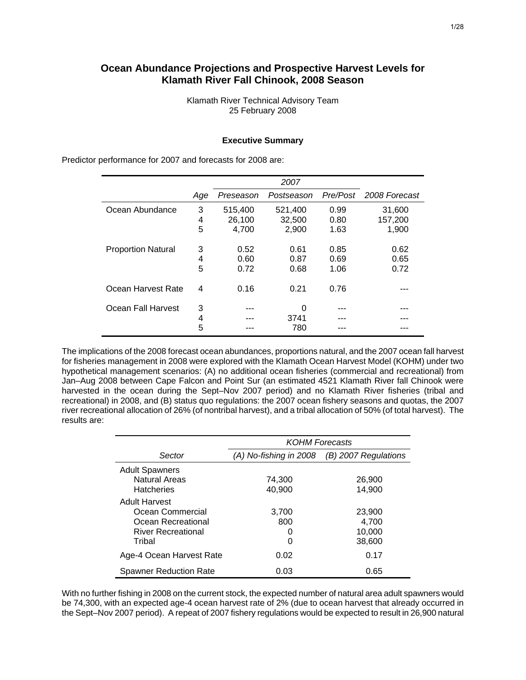# **Ocean Abundance Projections and Prospective Harvest Levels for Klamath River Fall Chinook, 2008 Season**

Klamath River Technical Advisory Team 25 February 2008

### **Executive Summary**

Predictor performance for 2007 and forecasts for 2008 are: *2007* 

|                           | Age         | Preseason                  | Postseason                 |                      | Pre/Post 2008 Forecast     |
|---------------------------|-------------|----------------------------|----------------------------|----------------------|----------------------------|
| Ocean Abundance           | 3<br>4<br>5 | 515,400<br>26,100<br>4,700 | 521,400<br>32,500<br>2,900 | 0.99<br>0.80<br>1.63 | 31,600<br>157,200<br>1,900 |
| <b>Proportion Natural</b> | 3<br>4<br>5 | 0.52<br>0.60<br>0.72       | 0.61<br>0.87<br>0.68       | 0.85<br>0.69<br>1.06 | 0.62<br>0.65<br>0.72       |
| Ocean Harvest Rate        | 4           | 0.16                       | 0.21                       | 0.76                 |                            |
| Ocean Fall Harvest        | 3<br>4      |                            | 0<br>3741                  |                      | ---                        |
|                           | 5           |                            | 780                        |                      |                            |

The implications of the 2008 forecast ocean abundances, proportions natural, and the 2007 ocean fall harvest for fisheries management in 2008 were explored with the Klamath Ocean Harvest Model (KOHM) under two hypothetical management scenarios: (A) no additional ocean fisheries (commercial and recreational) from Jan–Aug 2008 between Cape Falcon and Point Sur (an estimated 4521 Klamath River fall Chinook were harvested in the ocean during the Sept–Nov 2007 period) and no Klamath River fisheries (tribal and recreational) in 2008, and (B) status quo regulations: the 2007 ocean fishery seasons and quotas, the 2007 river recreational allocation of 26% (of nontribal harvest), and a tribal allocation of 50% (of total harvest). The results are:

|                                                             | <b>KOHM Forecasts</b>  |                           |  |  |  |  |  |
|-------------------------------------------------------------|------------------------|---------------------------|--|--|--|--|--|
| Sector                                                      | (A) No-fishing in 2008 | (B) 2007 Regulations      |  |  |  |  |  |
| <b>Adult Spawners</b><br>Natural Areas<br><b>Hatcheries</b> | 74,300<br>40,900       | 26,900<br>14,900          |  |  |  |  |  |
| <b>Adult Harvest</b><br>Ocean Commercial                    | 3,700                  | 23,900                    |  |  |  |  |  |
| Ocean Recreational<br><b>River Recreational</b><br>Tribal   | 800<br>0<br>0          | 4,700<br>10,000<br>38,600 |  |  |  |  |  |
| Age-4 Ocean Harvest Rate                                    | 0.02                   | 0.17                      |  |  |  |  |  |
| <b>Spawner Reduction Rate</b>                               | 0.03                   | 0.65                      |  |  |  |  |  |

With no further fishing in 2008 on the current stock, the expected number of natural area adult spawners would be 74,300, with an expected age-4 ocean harvest rate of 2% (due to ocean harvest that already occurred in the Sept–Nov 2007 period). A repeat of 2007 fishery regulations would be expected to result in 26,900 natural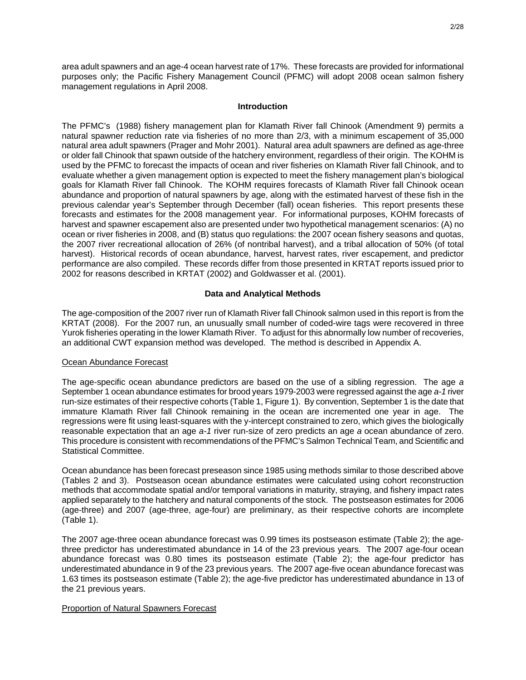area adult spawners and an age-4 ocean harvest rate of 17%. These forecasts are provided for informational purposes only; the Pacific Fishery Management Council (PFMC) will adopt 2008 ocean salmon fishery management regulations in April 2008.

## **Introduction**

The PFMC's (1988) fishery management plan for Klamath River fall Chinook (Amendment 9) permits a natural spawner reduction rate via fisheries of no more than 2/3, with a minimum escapement of 35,000 natural area adult spawners (Prager and Mohr 2001). Natural area adult spawners are defined as age-three or older fall Chinook that spawn outside of the hatchery environment, regardless of their origin. The KOHM is used by the PFMC to forecast the impacts of ocean and river fisheries on Klamath River fall Chinook, and to evaluate whether a given management option is expected to meet the fishery management plan's biological goals for Klamath River fall Chinook. The KOHM requires forecasts of Klamath River fall Chinook ocean abundance and proportion of natural spawners by age, along with the estimated harvest of these fish in the previous calendar year's September through December (fall) ocean fisheries. This report presents these forecasts and estimates for the 2008 management year. For informational purposes, KOHM forecasts of harvest and spawner escapement also are presented under two hypothetical management scenarios: (A) no ocean or river fisheries in 2008, and (B) status quo regulations: the 2007 ocean fishery seasons and quotas, the 2007 river recreational allocation of 26% (of nontribal harvest), and a tribal allocation of 50% (of total harvest). Historical records of ocean abundance, harvest, harvest rates, river escapement, and predictor performance are also compiled. These records differ from those presented in KRTAT reports issued prior to 2002 for reasons described in KRTAT (2002) and Goldwasser et al. (2001).

# **Data and Analytical Methods**

The age-composition of the 2007 river run of Klamath River fall Chinook salmon used in this report is from the KRTAT (2008). For the 2007 run, an unusually small number of coded-wire tags were recovered in three Yurok fisheries operating in the lower Klamath River. To adjust for this abnormally low number of recoveries, an additional CWT expansion method was developed. The method is described in Appendix A.

## Ocean Abundance Forecast

The age-specific ocean abundance predictors are based on the use of a sibling regression. The age *a* September 1 ocean abundance estimates for brood years 1979-2003 were regressed against the age *a-1* river run-size estimates of their respective cohorts (Table 1, Figure 1). By convention, September 1 is the date that immature Klamath River fall Chinook remaining in the ocean are incremented one year in age. The regressions were fit using least-squares with the y-intercept constrained to zero, which gives the biologically reasonable expectation that an age *a-1* river run-size of zero predicts an age *a* ocean abundance of zero. This procedure is consistent with recommendations of the PFMC's Salmon Technical Team, and Scientific and Statistical Committee.

Ocean abundance has been forecast preseason since 1985 using methods similar to those described above (Tables 2 and 3). Postseason ocean abundance estimates were calculated using cohort reconstruction methods that accommodate spatial and/or temporal variations in maturity, straying, and fishery impact rates applied separately to the hatchery and natural components of the stock. The postseason estimates for 2006 (age-three) and 2007 (age-three, age-four) are preliminary, as their respective cohorts are incomplete (Table 1).

The 2007 age-three ocean abundance forecast was 0.99 times its postseason estimate (Table 2); the agethree predictor has underestimated abundance in 14 of the 23 previous years. The 2007 age-four ocean abundance forecast was 0.80 times its postseason estimate (Table 2); the age-four predictor has underestimated abundance in 9 of the 23 previous years. The 2007 age-five ocean abundance forecast was 1.63 times its postseason estimate (Table 2); the age-five predictor has underestimated abundance in 13 of the 21 previous years.

## Proportion of Natural Spawners Forecast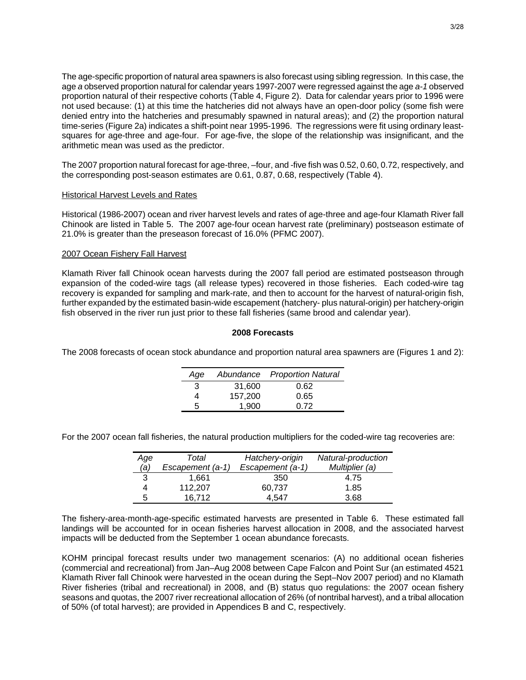The age-specific proportion of natural area spawners is also forecast using sibling regression. In this case, the age *a* observed proportion natural for calendar years 1997-2007 were regressed against the age *a-1* observed proportion natural of their respective cohorts (Table 4, Figure 2). Data for calendar years prior to 1996 were not used because: (1) at this time the hatcheries did not always have an open-door policy (some fish were denied entry into the hatcheries and presumably spawned in natural areas); and (2) the proportion natural time-series (Figure 2a) indicates a shift-point near 1995-1996. The regressions were fit using ordinary leastsquares for age-three and age-four. For age-five, the slope of the relationship was insignificant, and the arithmetic mean was used as the predictor.

The 2007 proportion natural forecast for age-three, –four, and -five fish was 0.52, 0.60, 0.72, respectively, and the corresponding post-season estimates are 0.61, 0.87, 0.68, respectively (Table 4).

## Historical Harvest Levels and Rates

Historical (1986-2007) ocean and river harvest levels and rates of age-three and age-four Klamath River fall Chinook are listed in Table 5. The 2007 age-four ocean harvest rate (preliminary) postseason estimate of 21.0% is greater than the preseason forecast of 16.0% (PFMC 2007).

## 2007 Ocean Fishery Fall Harvest

Klamath River fall Chinook ocean harvests during the 2007 fall period are estimated postseason through expansion of the coded-wire tags (all release types) recovered in those fisheries. Each coded-wire tag recovery is expanded for sampling and mark-rate, and then to account for the harvest of natural-origin fish, further expanded by the estimated basin-wide escapement (hatchery- plus natural-origin) per hatchery-origin fish observed in the river run just prior to these fall fisheries (same brood and calendar year).

## **2008 Forecasts**

The 2008 forecasts of ocean stock abundance and proportion natural area spawners are (Figures 1 and 2):

| Aqe |         | Abundance Proportion Natural |
|-----|---------|------------------------------|
| 3   | 31,600  | 0.62                         |
|     | 157,200 | 0.65                         |
| 5   | 1.900   | 0.72                         |

For the 2007 ocean fall fisheries, the natural production multipliers for the coded-wire tag recoveries are:

| Age | Total            | Hatchery-origin  | Natural-production |
|-----|------------------|------------------|--------------------|
| (a) | Escapement (a-1) | Escapement (a-1) | Multiplier (a)     |
| 3   | 1,661            | 350              | 4.75               |
|     | 112,207          | 60,737           | 1.85               |
| 5   | 16,712           | 4.547            | 3.68               |

The fishery-area-month-age-specific estimated harvests are presented in Table 6. These estimated fall landings will be accounted for in ocean fisheries harvest allocation in 2008, and the associated harvest impacts will be deducted from the September 1 ocean abundance forecasts.

KOHM principal forecast results under two management scenarios: (A) no additional ocean fisheries (commercial and recreational) from Jan–Aug 2008 between Cape Falcon and Point Sur (an estimated 4521 Klamath River fall Chinook were harvested in the ocean during the Sept–Nov 2007 period) and no Klamath River fisheries (tribal and recreational) in 2008, and (B) status quo regulations: the 2007 ocean fishery seasons and quotas, the 2007 river recreational allocation of 26% (of nontribal harvest), and a tribal allocation of 50% (of total harvest); are provided in Appendices B and C, respectively.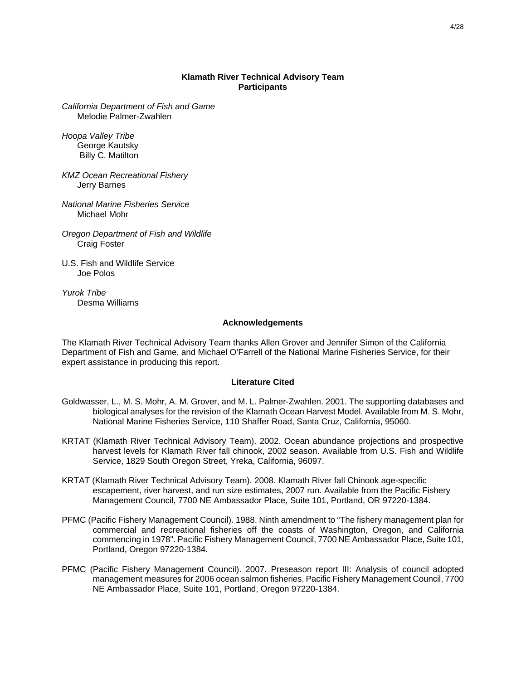## **Klamath River Technical Advisory Team Participants**

*California Department of Fish and Game*  Melodie Palmer-Zwahlen

*Hoopa Valley Tribe*  George Kautsky Billy C. Matilton

*KMZ Ocean Recreational Fishery*  Jerry Barnes

*National Marine Fisheries Service*  Michael Mohr

*Oregon Department of Fish and Wildlife*  Craig Foster

U.S. Fish and Wildlife Service Joe Polos

*Yurok Tribe*  Desma Williams

#### **Acknowledgements**

The Klamath River Technical Advisory Team thanks Allen Grover and Jennifer Simon of the California Department of Fish and Game, and Michael O'Farrell of the National Marine Fisheries Service, for their expert assistance in producing this report.

#### **Literature Cited**

- Goldwasser, L., M. S. Mohr, A. M. Grover, and M. L. Palmer-Zwahlen. 2001. The supporting databases and biological analyses for the revision of the Klamath Ocean Harvest Model. Available from M. S. Mohr, National Marine Fisheries Service, 110 Shaffer Road, Santa Cruz, California, 95060.
- KRTAT (Klamath River Technical Advisory Team). 2002. Ocean abundance projections and prospective harvest levels for Klamath River fall chinook, 2002 season. Available from U.S. Fish and Wildlife Service, 1829 South Oregon Street, Yreka, California, 96097.
- KRTAT (Klamath River Technical Advisory Team). 2008. Klamath River fall Chinook age-specific escapement, river harvest, and run size estimates, 2007 run. Available from the Pacific Fishery Management Council, 7700 NE Ambassador Place, Suite 101, Portland, OR 97220-1384.
- PFMC (Pacific Fishery Management Council). 1988. Ninth amendment to "The fishery management plan for commercial and recreational fisheries off the coasts of Washington, Oregon, and California commencing in 1978". Pacific Fishery Management Council, 7700 NE Ambassador Place, Suite 101, Portland, Oregon 97220-1384.
- PFMC (Pacific Fishery Management Council). 2007. Preseason report III: Analysis of council adopted management measures for 2006 ocean salmon fisheries. Pacific Fishery Management Council, 7700 NE Ambassador Place, Suite 101, Portland, Oregon 97220-1384.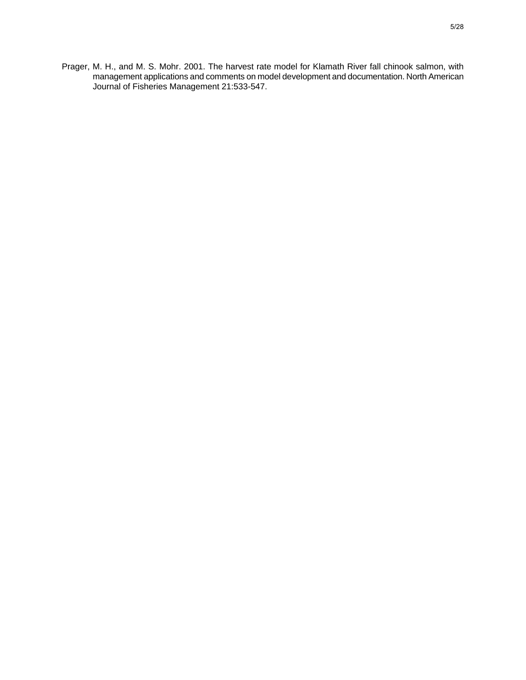Prager, M. H., and M. S. Mohr. 2001. The harvest rate model for Klamath River fall chinook salmon, with management applications and comments on model development and documentation. North American Journal of Fisheries Management 21:533-547.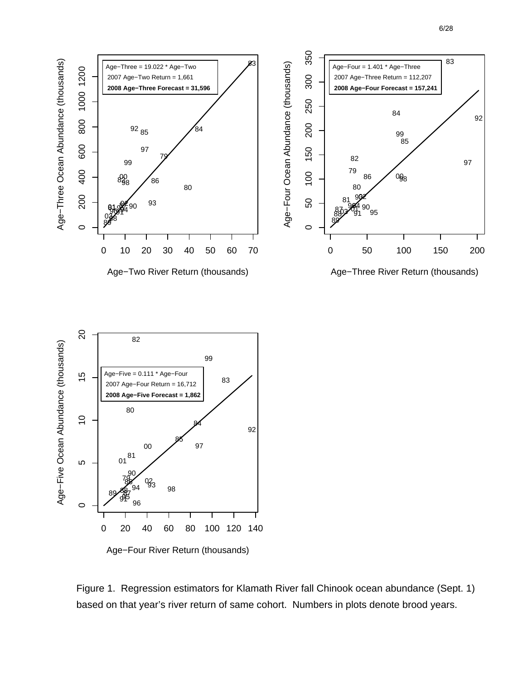



 $\circ$ 

Age−Three Ocean Abundance (thousands)

Age-Three Ocean Abundance (thousands)

1000 1200

Figure 1. Regression estimators for Klamath River fall Chinook ocean abundance (Sept. 1) based on that year's river return of same cohort. Numbers in plots denote brood years.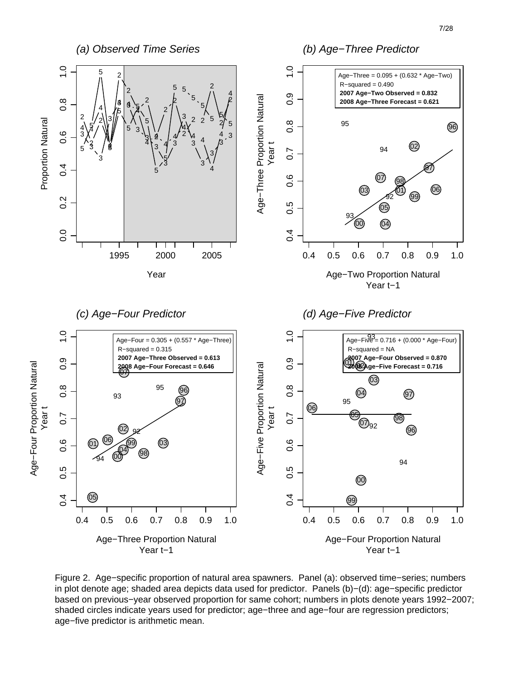

Figure 2. Age−specific proportion of natural area spawners. Panel (a): observed time−series; numbers in plot denote age; shaded area depicts data used for predictor. Panels (b)−(d): age−specific predictor based on previous−year observed proportion for same cohort; numbers in plots denote years 1992−2007; shaded circles indicate years used for predictor; age−three and age−four are regression predictors; age−five predictor is arithmetic mean.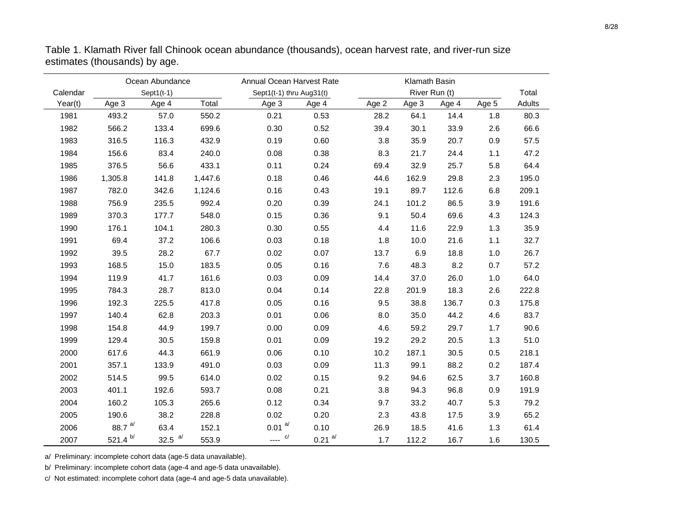|          | Ocean Abundance<br>Annual Ocean Harvest Rate |               |         |                          | Klamath Basin        |       |               |       |       |        |
|----------|----------------------------------------------|---------------|---------|--------------------------|----------------------|-------|---------------|-------|-------|--------|
| Calendar |                                              | Sept $1(t-1)$ |         | Sept1(t-1) thru Aug31(t) |                      |       | River Run (t) |       |       | Total  |
| Year(t)  | Age 3                                        | Age 4         | Total   | Age 3                    | Age 4                | Age 2 | Age 3         | Age 4 | Age 5 | Adults |
| 1981     | 493.2                                        | 57.0          | 550.2   | 0.21                     | 0.53                 | 28.2  | 64.1          | 14.4  | 1.8   | 80.3   |
| 1982     | 566.2                                        | 133.4         | 699.6   | 0.30                     | 0.52                 | 39.4  | 30.1          | 33.9  | 2.6   | 66.6   |
| 1983     | 316.5                                        | 116.3         | 432.9   | 0.19                     | 0.60                 | 3.8   | 35.9          | 20.7  | 0.9   | 57.5   |
| 1984     | 156.6                                        | 83.4          | 240.0   | 0.08                     | 0.38                 | 8.3   | 21.7          | 24.4  | 1.1   | 47.2   |
| 1985     | 376.5                                        | 56.6          | 433.1   | 0.11                     | 0.24                 | 69.4  | 32.9          | 25.7  | 5.8   | 64.4   |
| 1986     | 1,305.8                                      | 141.8         | 1,447.6 | 0.18                     | 0.46                 | 44.6  | 162.9         | 29.8  | 2.3   | 195.0  |
| 1987     | 782.0                                        | 342.6         | 1,124.6 | 0.16                     | 0.43                 | 19.1  | 89.7          | 112.6 | 6.8   | 209.1  |
| 1988     | 756.9                                        | 235.5         | 992.4   | 0.20                     | 0.39                 | 24.1  | 101.2         | 86.5  | 3.9   | 191.6  |
| 1989     | 370.3                                        | 177.7         | 548.0   | 0.15                     | 0.36                 | 9.1   | 50.4          | 69.6  | 4.3   | 124.3  |
| 1990     | 176.1                                        | 104.1         | 280.3   | 0.30                     | 0.55                 | 4.4   | 11.6          | 22.9  | 1.3   | 35.9   |
| 1991     | 69.4                                         | 37.2          | 106.6   | 0.03                     | 0.18                 | 1.8   | 10.0          | 21.6  | 1.1   | 32.7   |
| 1992     | 39.5                                         | 28.2          | 67.7    | 0.02                     | 0.07                 | 13.7  | 6.9           | 18.8  | 1.0   | 26.7   |
| 1993     | 168.5                                        | 15.0          | 183.5   | 0.05                     | 0.16                 | 7.6   | 48.3          | 8.2   | 0.7   | 57.2   |
| 1994     | 119.9                                        | 41.7          | 161.6   | 0.03                     | 0.09                 | 14.4  | 37.0          | 26.0  | 1.0   | 64.0   |
| 1995     | 784.3                                        | 28.7          | 813.0   | 0.04                     | 0.14                 | 22.8  | 201.9         | 18.3  | 2.6   | 222.8  |
| 1996     | 192.3                                        | 225.5         | 417.8   | 0.05                     | 0.16                 | 9.5   | 38.8          | 136.7 | 0.3   | 175.8  |
| 1997     | 140.4                                        | 62.8          | 203.3   | 0.01                     | 0.06                 | 8.0   | 35.0          | 44.2  | 4.6   | 83.7   |
| 1998     | 154.8                                        | 44.9          | 199.7   | 0.00                     | 0.09                 | 4.6   | 59.2          | 29.7  | 1.7   | 90.6   |
| 1999     | 129.4                                        | 30.5          | 159.8   | 0.01                     | 0.09                 | 19.2  | 29.2          | 20.5  | 1.3   | 51.0   |
| 2000     | 617.6                                        | 44.3          | 661.9   | 0.06                     | 0.10                 | 10.2  | 187.1         | 30.5  | 0.5   | 218.1  |
| 2001     | 357.1                                        | 133.9         | 491.0   | 0.03                     | 0.09                 | 11.3  | 99.1          | 88.2  | 0.2   | 187.4  |
| 2002     | 514.5                                        | 99.5          | 614.0   | 0.02                     | 0.15                 | 9.2   | 94.6          | 62.5  | 3.7   | 160.8  |
| 2003     | 401.1                                        | 192.6         | 593.7   | 0.08                     | 0.21                 | 3.8   | 94.3          | 96.8  | 0.9   | 191.9  |
| 2004     | 160.2                                        | 105.3         | 265.6   | 0.12                     | 0.34                 | 9.7   | 33.2          | 40.7  | 5.3   | 79.2   |
| 2005     | 190.6                                        | 38.2          | 228.8   | 0.02                     | 0.20                 | 2.3   | 43.8          | 17.5  | 3.9   | 65.2   |
| 2006     | 88.7 $a/$                                    | 63.4          | 152.1   | $0.01^{a/2}$             | 0.10                 | 26.9  | 18.5          | 41.6  | 1.3   | 61.4   |
| 2007     | 521.4 b/                                     | 32.5 $a/$     | 553.9   | $\frac{c}{c}$            | $0.21$ <sup>a/</sup> | 1.7   | 112.2         | 16.7  | 1.6   | 130.5  |

Table 1. Klamath River fall Chinook ocean abundance (thousands), ocean harvest rate, and river-run size estimates (thousands) by age.

a/ Preliminary: incomplete cohort data (age-5 data unavailable).

b/ Preliminary: incomplete cohort data (age-4 and age-5 data unavailable).

c/ Not estimated: incomplete cohort data (age-4 and age-5 data unavailable).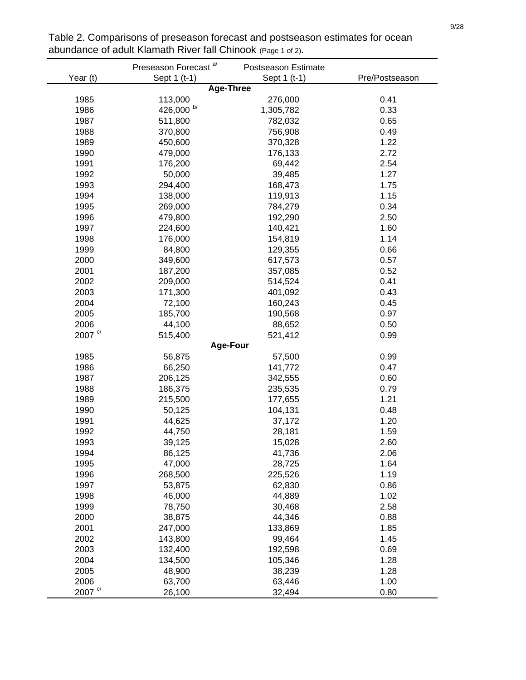|                       | Preseason Forecast <sup>a/</sup> | Postseason Estimate |                |  |  |
|-----------------------|----------------------------------|---------------------|----------------|--|--|
| Year (t)              | Sept 1 (t-1)                     | Sept 1 (t-1)        | Pre/Postseason |  |  |
|                       |                                  | <b>Age-Three</b>    |                |  |  |
| 1985                  | 113,000                          | 276,000             | 0.41           |  |  |
| 1986                  | 426,000 b/                       | 1,305,782           | 0.33           |  |  |
| 1987                  | 511,800                          | 782,032             | 0.65           |  |  |
| 1988                  | 370,800                          | 756,908             | 0.49           |  |  |
| 1989                  | 450,600                          | 370,328             | 1.22           |  |  |
| 1990                  | 479,000                          | 176,133             | 2.72           |  |  |
| 1991                  | 176,200                          | 69,442              | 2.54           |  |  |
| 1992                  | 50,000                           | 39,485              | 1.27           |  |  |
| 1993                  | 294,400                          | 168,473             | 1.75           |  |  |
| 1994                  | 138,000                          | 119,913             | 1.15           |  |  |
| 1995                  | 269,000                          | 784,279             | 0.34           |  |  |
| 1996                  | 479,800                          | 192,290             | 2.50           |  |  |
| 1997                  | 224,600                          | 140,421             | 1.60           |  |  |
| 1998                  | 176,000                          | 154,819             | 1.14           |  |  |
| 1999                  | 84,800                           | 129,355             | 0.66           |  |  |
| 2000                  | 349,600                          | 617,573             | 0.57           |  |  |
| 2001                  | 187,200                          | 357,085             | 0.52           |  |  |
| 2002                  | 209,000                          | 514,524             | 0.41           |  |  |
| 2003                  | 171,300                          | 401,092             | 0.43           |  |  |
| 2004                  | 72,100                           | 160,243             | 0.45           |  |  |
| 2005                  | 185,700                          | 190,568             | 0.97           |  |  |
| 2006                  | 44,100                           | 88,652              | 0.50           |  |  |
| 2007 <sup>c/</sup>    | 515,400                          | 521,412             | 0.99           |  |  |
|                       |                                  | <b>Age-Four</b>     |                |  |  |
| 1985                  | 56,875                           | 57,500              | 0.99           |  |  |
| 1986                  | 66,250                           | 141,772             | 0.47           |  |  |
| 1987                  | 206,125                          | 342,555             | 0.60           |  |  |
| 1988                  | 186,375                          | 235,535             | 0.79           |  |  |
| 1989                  | 215,500                          | 177,655             | 1.21           |  |  |
| 1990                  | 50,125                           | 104,131             | 0.48           |  |  |
| 1991                  | 44,625                           | 37,172              | 1.20           |  |  |
| 1992                  | 44,750                           | 28,181              | 1.59           |  |  |
| 1993                  | 39,125                           | 15,028              | 2.60           |  |  |
| 1994                  | 86,125                           | 41,736              | 2.06           |  |  |
| 1995                  | 47,000                           | 28,725              | 1.64           |  |  |
| 1996                  | 268,500                          | 225,526             | 1.19           |  |  |
| 1997                  | 53,875                           | 62,830              | 0.86           |  |  |
| 1998                  | 46,000                           | 44,889              | 1.02           |  |  |
| 1999                  | 78,750                           | 30,468              | 2.58           |  |  |
| 2000                  | 38,875                           | 44,346              | 0.88           |  |  |
| 2001                  | 247,000                          | 133,869             | 1.85           |  |  |
| 2002                  | 143,800                          | 99,464              | 1.45           |  |  |
| 2003                  | 132,400                          | 192,598             | 0.69           |  |  |
| 2004                  | 134,500                          | 105,346             | 1.28           |  |  |
| 2005                  | 48,900                           | 38,239              | 1.28           |  |  |
| 2006                  | 63,700                           | 63,446              | 1.00           |  |  |
| 2007 $^{\circ\prime}$ | 26,100                           | 32,494              | 0.80           |  |  |

Table 2. Comparisons of preseason forecast and postseason estimates for ocean abundance of adult Klamath River fall Chinook (Page 1 of 2).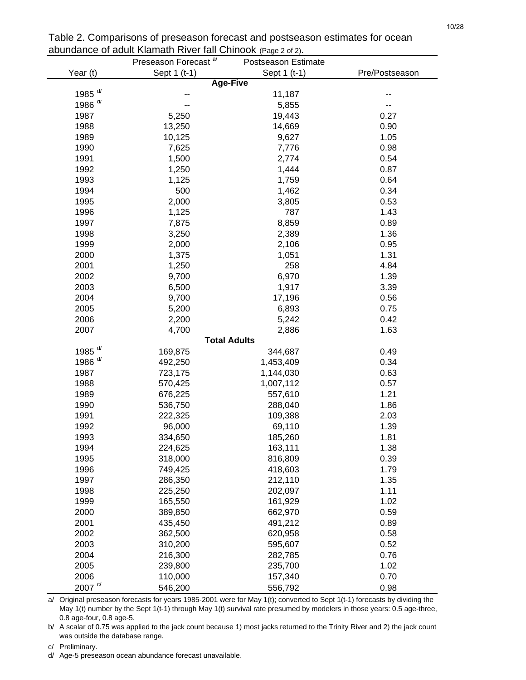|                      | or again numain niver fair or infoon (rage z or z).<br>Preseason Forecast <sup>a/</sup><br>Postseason Estimate |                     |                |  |  |  |  |  |  |  |  |
|----------------------|----------------------------------------------------------------------------------------------------------------|---------------------|----------------|--|--|--|--|--|--|--|--|
| Year (t)             | Sept 1 (t-1)                                                                                                   | Sept 1 (t-1)        | Pre/Postseason |  |  |  |  |  |  |  |  |
|                      |                                                                                                                | <b>Age-Five</b>     |                |  |  |  |  |  |  |  |  |
| 1985 $d/$            |                                                                                                                | 11,187              |                |  |  |  |  |  |  |  |  |
| 1986 <sup>d/</sup>   |                                                                                                                | 5,855               |                |  |  |  |  |  |  |  |  |
| 1987                 | 5,250                                                                                                          | 19,443              | 0.27           |  |  |  |  |  |  |  |  |
| 1988                 | 13,250                                                                                                         | 14,669              | 0.90           |  |  |  |  |  |  |  |  |
| 1989                 | 10,125                                                                                                         | 9,627               | 1.05           |  |  |  |  |  |  |  |  |
| 1990                 | 7,625                                                                                                          | 7,776               | 0.98           |  |  |  |  |  |  |  |  |
| 1991                 | 1,500                                                                                                          | 2,774               | 0.54           |  |  |  |  |  |  |  |  |
| 1992                 | 1,250                                                                                                          | 1,444               | 0.87           |  |  |  |  |  |  |  |  |
| 1993                 | 1,125                                                                                                          | 1,759               | 0.64           |  |  |  |  |  |  |  |  |
| 1994                 | 500                                                                                                            | 1,462               | 0.34           |  |  |  |  |  |  |  |  |
| 1995                 | 2,000                                                                                                          | 3,805               | 0.53           |  |  |  |  |  |  |  |  |
| 1996                 | 1,125                                                                                                          | 787                 | 1.43           |  |  |  |  |  |  |  |  |
| 1997                 | 7,875                                                                                                          | 8,859               | 0.89           |  |  |  |  |  |  |  |  |
| 1998                 | 3,250                                                                                                          | 2,389               | 1.36           |  |  |  |  |  |  |  |  |
| 1999                 | 2,000                                                                                                          | 2,106               | 0.95           |  |  |  |  |  |  |  |  |
| 2000                 | 1,375                                                                                                          | 1,051               | 1.31           |  |  |  |  |  |  |  |  |
| 2001                 | 1,250                                                                                                          | 258                 | 4.84           |  |  |  |  |  |  |  |  |
| 2002                 | 9,700                                                                                                          | 6,970               | 1.39           |  |  |  |  |  |  |  |  |
| 2003                 | 6,500                                                                                                          | 1,917               | 3.39           |  |  |  |  |  |  |  |  |
| 2004                 | 9,700                                                                                                          | 17,196              | 0.56           |  |  |  |  |  |  |  |  |
| 2005                 | 5,200                                                                                                          | 6,893               | 0.75           |  |  |  |  |  |  |  |  |
| 2006                 | 2,200                                                                                                          | 5,242               | 0.42           |  |  |  |  |  |  |  |  |
| 2007                 | 4,700                                                                                                          | 2,886               | 1.63           |  |  |  |  |  |  |  |  |
|                      |                                                                                                                | <b>Total Adults</b> |                |  |  |  |  |  |  |  |  |
| 1985 <sup>d/</sup>   | 169,875                                                                                                        | 344,687             | 0.49           |  |  |  |  |  |  |  |  |
| 1986 <sup>d/</sup>   | 492,250                                                                                                        | 1,453,409           | 0.34           |  |  |  |  |  |  |  |  |
| 1987                 | 723,175                                                                                                        | 1,144,030           | 0.63           |  |  |  |  |  |  |  |  |
| 1988                 | 570,425                                                                                                        | 1,007,112           | 0.57           |  |  |  |  |  |  |  |  |
| 1989                 | 676,225                                                                                                        | 557,610             | 1.21           |  |  |  |  |  |  |  |  |
| 1990                 | 536,750                                                                                                        | 288,040             | 1.86           |  |  |  |  |  |  |  |  |
| 1991                 | 222,325                                                                                                        | 109,388             | 2.03           |  |  |  |  |  |  |  |  |
| 1992                 | 96,000                                                                                                         | 69,110              | 1.39           |  |  |  |  |  |  |  |  |
| 1993                 | 334,650                                                                                                        | 185,260             | 1.81           |  |  |  |  |  |  |  |  |
| 1994                 | 224,625                                                                                                        | 163,111             | 1.38           |  |  |  |  |  |  |  |  |
| 1995                 | 318,000                                                                                                        | 816,809             | 0.39           |  |  |  |  |  |  |  |  |
| 1996                 | 749,425                                                                                                        | 418,603             | 1.79           |  |  |  |  |  |  |  |  |
| 1997                 | 286,350                                                                                                        | 212,110             | 1.35           |  |  |  |  |  |  |  |  |
| 1998                 | 225,250                                                                                                        | 202,097             | 1.11           |  |  |  |  |  |  |  |  |
| 1999                 | 165,550                                                                                                        | 161,929             | 1.02           |  |  |  |  |  |  |  |  |
| 2000                 | 389,850                                                                                                        | 662,970             | 0.59           |  |  |  |  |  |  |  |  |
| 2001                 | 435,450                                                                                                        | 491,212             | 0.89           |  |  |  |  |  |  |  |  |
| 2002                 | 362,500                                                                                                        | 620,958             | 0.58           |  |  |  |  |  |  |  |  |
| 2003                 | 310,200                                                                                                        | 595,607             | 0.52           |  |  |  |  |  |  |  |  |
| 2004                 | 216,300                                                                                                        | 282,785             | 0.76           |  |  |  |  |  |  |  |  |
| 2005                 | 239,800                                                                                                        | 235,700             | 1.02           |  |  |  |  |  |  |  |  |
| 2006                 | 110,000                                                                                                        | 157,340             | 0.70           |  |  |  |  |  |  |  |  |
| $2007$ $\frac{c}{ }$ | 546,200                                                                                                        | 556,792             | 0.98           |  |  |  |  |  |  |  |  |

Table 2. Comparisons of preseason forecast and postseason estimates for ocean abundance of adult Klamath River fall Chinook (Page 2 of 2).

a/ Original preseason forecasts for years 1985-2001 were for May 1(t); converted to Sept 1(t-1) forecasts by dividing the May 1(t) number by the Sept 1(t-1) through May 1(t) survival rate presumed by modelers in those years: 0.5 age-three, 0.8 age-four, 0.8 age-5.

b/ A scalar of 0.75 was applied to the jack count because 1) most jacks returned to the Trinity River and 2) the jack count was outside the database range.

c/ Preliminary.

d/ Age-5 preseason ocean abundance forecast unavailable.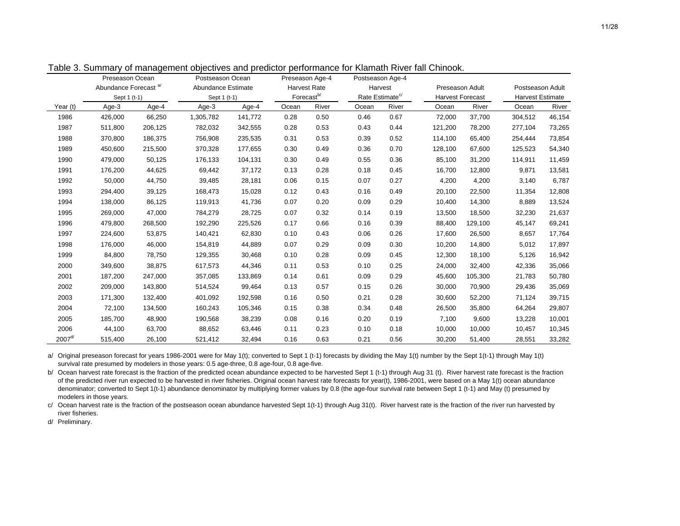11/28

|              |                                  | Preseason Ocean<br>Postseason Ocean<br>Preseason Age-4 |                    | Postseason Age-4 |                     |                        |                             |       |                         |                 |                  |                         |  |
|--------------|----------------------------------|--------------------------------------------------------|--------------------|------------------|---------------------|------------------------|-----------------------------|-------|-------------------------|-----------------|------------------|-------------------------|--|
|              | Abundance Forecast <sup>a/</sup> |                                                        | Abundance Estimate |                  | <b>Harvest Rate</b> |                        | Harvest                     |       |                         | Preseason Adult | Postseason Adult |                         |  |
|              | Sept 1 (t-1)                     |                                                        | Sept 1 (t-1)       |                  |                     | Forecast <sup>b/</sup> | Rate Estimate <sup>c/</sup> |       | <b>Harvest Forecast</b> |                 |                  | <b>Harvest Estimate</b> |  |
| Year (t)     | Age-3                            | Age-4                                                  | Age-3              | Age-4            | Ocean               | River                  | Ocean                       | River | Ocean                   | River           | Ocean            | River                   |  |
| 1986         | 426,000                          | 66,250                                                 | 1,305,782          | 141,772          | 0.28                | 0.50                   | 0.46                        | 0.67  | 72,000                  | 37,700          | 304,512          | 46,154                  |  |
| 1987         | 511,800                          | 206,125                                                | 782,032            | 342,555          | 0.28                | 0.53                   | 0.43                        | 0.44  | 121,200                 | 78,200          | 277.104          | 73,265                  |  |
| 1988         | 370,800                          | 186,375                                                | 756,908            | 235,535          | 0.31                | 0.53                   | 0.39                        | 0.52  | 114,100                 | 65,400          | 254,444          | 73,854                  |  |
| 1989         | 450,600                          | 215,500                                                | 370,328            | 177,655          | 0.30                | 0.49                   | 0.36                        | 0.70  | 128,100                 | 67,600          | 125,523          | 54,340                  |  |
| 1990         | 479,000                          | 50,125                                                 | 176,133            | 104,131          | 0.30                | 0.49                   | 0.55                        | 0.36  | 85,100                  | 31,200          | 114,911          | 11,459                  |  |
| 1991         | 176,200                          | 44,625                                                 | 69,442             | 37,172           | 0.13                | 0.28                   | 0.18                        | 0.45  | 16,700                  | 12,800          | 9,871            | 13,581                  |  |
| 1992         | 50,000                           | 44,750                                                 | 39,485             | 28,181           | 0.06                | 0.15                   | 0.07                        | 0.27  | 4,200                   | 4,200           | 3,140            | 6,787                   |  |
| 1993         | 294,400                          | 39,125                                                 | 168,473            | 15,028           | 0.12                | 0.43                   | 0.16                        | 0.49  | 20,100                  | 22,500          | 11,354           | 12,808                  |  |
| 1994         | 138,000                          | 86,125                                                 | 119,913            | 41,736           | 0.07                | 0.20                   | 0.09                        | 0.29  | 10,400                  | 14,300          | 8,889            | 13,524                  |  |
| 1995         | 269,000                          | 47,000                                                 | 784,279            | 28,725           | 0.07                | 0.32                   | 0.14                        | 0.19  | 13,500                  | 18,500          | 32,230           | 21,637                  |  |
| 1996         | 479,800                          | 268,500                                                | 192,290            | 225,526          | 0.17                | 0.66                   | 0.16                        | 0.39  | 88,400                  | 129,100         | 45,147           | 69,241                  |  |
| 1997         | 224,600                          | 53,875                                                 | 140,421            | 62,830           | 0.10                | 0.43                   | 0.06                        | 0.26  | 17,600                  | 26,500          | 8,657            | 17,764                  |  |
| 1998         | 176,000                          | 46,000                                                 | 154,819            | 44,889           | 0.07                | 0.29                   | 0.09                        | 0.30  | 10,200                  | 14,800          | 5,012            | 17,897                  |  |
| 1999         | 84,800                           | 78,750                                                 | 129,355            | 30,468           | 0.10                | 0.28                   | 0.09                        | 0.45  | 12,300                  | 18,100          | 5.126            | 16,942                  |  |
| 2000         | 349,600                          | 38,875                                                 | 617,573            | 44,346           | 0.11                | 0.53                   | 0.10                        | 0.25  | 24,000                  | 32,400          | 42,336           | 35,066                  |  |
| 2001         | 187,200                          | 247,000                                                | 357,085            | 133,869          | 0.14                | 0.61                   | 0.09                        | 0.29  | 45,600                  | 105,300         | 21,783           | 50,780                  |  |
| 2002         | 209,000                          | 143,800                                                | 514,524            | 99,464           | 0.13                | 0.57                   | 0.15                        | 0.26  | 30,000                  | 70,900          | 29,436           | 35,069                  |  |
| 2003         | 171,300                          | 132,400                                                | 401,092            | 192,598          | 0.16                | 0.50                   | 0.21                        | 0.28  | 30,600                  | 52,200          | 71,124           | 39,715                  |  |
| 2004         | 72,100                           | 134,500                                                | 160,243            | 105,346          | 0.15                | 0.38                   | 0.34                        | 0.48  | 26,500                  | 35,800          | 64,264           | 29,807                  |  |
| 2005         | 185,700                          | 48,900                                                 | 190,568            | 38,239           | 0.08                | 0.16                   | 0.20                        | 0.19  | 7,100                   | 9,600           | 13,228           | 10,001                  |  |
| 2006         | 44.100                           | 63,700                                                 | 88,652             | 63,446           | 0.11                | 0.23                   | 0.10                        | 0.18  | 10,000                  | 10,000          | 10.457           | 10,345                  |  |
| $2007^{d/2}$ | 515,400                          | 26,100                                                 | 521,412            | 32,494           | 0.16                | 0.63                   | 0.21                        | 0.56  | 30,200                  | 51,400          | 28,551           | 33,282                  |  |

Table 3. Summary of management objectives and predictor performance for Klamath River fall Chinook.

a/ Original preseason forecast for years 1986-2001 were for May 1(t); converted to Sept 1 (t-1) forecasts by dividing the May 1(t) number by the Sept 1(t-1) through May 1(t) survival rate presumed by modelers in those years: 0.5 age-three, 0.8 age-four, 0.8 age-five.

b/ Ocean harvest rate forecast is the fraction of the predicted ocean abundance expected to be harvested Sept 1 (t-1) through Aug 31 (t). River harvest rate forecast is the fraction of the predicted river run expected to be harvested in river fisheries. Original ocean harvest rate forecasts for year(t), 1986-2001, were based on a May 1(t) ocean abundance denominator; converted to Sept 1(t-1) abundance denominator by multiplying former values by 0.8 (the age-four survival rate between Sept 1 (t-1) and May (t) presumed by modelers in those years.

c/ Ocean harvest rate is the fraction of the postseason ocean abundance harvested Sept 1(t-1) through Aug 31(t). River harvest rate is the fraction of the river run harvested by river fisheries.

d/ Preliminary.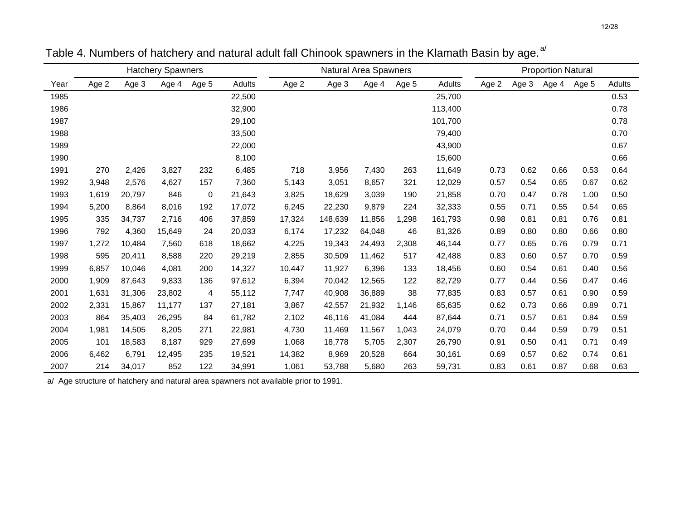|      |       |        | <b>Hatchery Spawners</b> |       |        |        | Natural Area Spawners |        |       |         | <b>Proportion Natural</b> |       |       |       |        |
|------|-------|--------|--------------------------|-------|--------|--------|-----------------------|--------|-------|---------|---------------------------|-------|-------|-------|--------|
| Year | Age 2 | Age 3  | Age 4                    | Age 5 | Adults | Age 2  | Age 3                 | Age 4  | Age 5 | Adults  | Age 2                     | Age 3 | Age 4 | Age 5 | Adults |
| 1985 |       |        |                          |       | 22,500 |        |                       |        |       | 25,700  |                           |       |       |       | 0.53   |
| 1986 |       |        |                          |       | 32,900 |        |                       |        |       | 113,400 |                           |       |       |       | 0.78   |
| 1987 |       |        |                          |       | 29,100 |        |                       |        |       | 101,700 |                           |       |       |       | 0.78   |
| 1988 |       |        |                          |       | 33,500 |        |                       |        |       | 79,400  |                           |       |       |       | 0.70   |
| 1989 |       |        |                          |       | 22,000 |        |                       |        |       | 43,900  |                           |       |       |       | 0.67   |
| 1990 |       |        |                          |       | 8,100  |        |                       |        |       | 15,600  |                           |       |       |       | 0.66   |
| 1991 | 270   | 2,426  | 3,827                    | 232   | 6,485  | 718    | 3,956                 | 7,430  | 263   | 11,649  | 0.73                      | 0.62  | 0.66  | 0.53  | 0.64   |
| 1992 | 3,948 | 2,576  | 4,627                    | 157   | 7,360  | 5,143  | 3,051                 | 8,657  | 321   | 12,029  | 0.57                      | 0.54  | 0.65  | 0.67  | 0.62   |
| 1993 | 1,619 | 20,797 | 846                      | 0     | 21,643 | 3,825  | 18,629                | 3,039  | 190   | 21,858  | 0.70                      | 0.47  | 0.78  | 1.00  | 0.50   |
| 1994 | 5,200 | 8,864  | 8,016                    | 192   | 17,072 | 6,245  | 22,230                | 9,879  | 224   | 32,333  | 0.55                      | 0.71  | 0.55  | 0.54  | 0.65   |
| 1995 | 335   | 34,737 | 2,716                    | 406   | 37,859 | 17,324 | 148,639               | 11,856 | 1,298 | 161,793 | 0.98                      | 0.81  | 0.81  | 0.76  | 0.81   |
| 1996 | 792   | 4,360  | 15,649                   | 24    | 20,033 | 6,174  | 17,232                | 64,048 | 46    | 81,326  | 0.89                      | 0.80  | 0.80  | 0.66  | 0.80   |
| 1997 | 1,272 | 10,484 | 7,560                    | 618   | 18,662 | 4,225  | 19,343                | 24,493 | 2,308 | 46,144  | 0.77                      | 0.65  | 0.76  | 0.79  | 0.71   |
| 1998 | 595   | 20,411 | 8,588                    | 220   | 29,219 | 2,855  | 30,509                | 11,462 | 517   | 42,488  | 0.83                      | 0.60  | 0.57  | 0.70  | 0.59   |
| 1999 | 6,857 | 10.046 | 4,081                    | 200   | 14,327 | 10,447 | 11,927                | 6,396  | 133   | 18,456  | 0.60                      | 0.54  | 0.61  | 0.40  | 0.56   |
| 2000 | 1,909 | 87,643 | 9,833                    | 136   | 97,612 | 6,394  | 70,042                | 12,565 | 122   | 82,729  | 0.77                      | 0.44  | 0.56  | 0.47  | 0.46   |
| 2001 | 1,631 | 31,306 | 23,802                   | 4     | 55,112 | 7,747  | 40,908                | 36,889 | 38    | 77,835  | 0.83                      | 0.57  | 0.61  | 0.90  | 0.59   |
| 2002 | 2,331 | 15,867 | 11,177                   | 137   | 27,181 | 3,867  | 42,557                | 21,932 | 1,146 | 65,635  | 0.62                      | 0.73  | 0.66  | 0.89  | 0.71   |
| 2003 | 864   | 35,403 | 26,295                   | 84    | 61,782 | 2,102  | 46,116                | 41,084 | 444   | 87,644  | 0.71                      | 0.57  | 0.61  | 0.84  | 0.59   |
| 2004 | 1,981 | 14,505 | 8,205                    | 271   | 22,981 | 4,730  | 11,469                | 11,567 | 1,043 | 24,079  | 0.70                      | 0.44  | 0.59  | 0.79  | 0.51   |
| 2005 | 101   | 18,583 | 8,187                    | 929   | 27,699 | 1,068  | 18,778                | 5,705  | 2,307 | 26,790  | 0.91                      | 0.50  | 0.41  | 0.71  | 0.49   |
| 2006 | 6,462 | 6,791  | 12,495                   | 235   | 19,521 | 14,382 | 8,969                 | 20,528 | 664   | 30,161  | 0.69                      | 0.57  | 0.62  | 0.74  | 0.61   |
| 2007 | 214   | 34,017 | 852                      | 122   | 34,991 | 1,061  | 53,788                | 5,680  | 263   | 59,731  | 0.83                      | 0.61  | 0.87  | 0.68  | 0.63   |

Table 4. Numbers of hatchery and natural adult fall Chinook spawners in the Klamath Basin by age.<sup>a/</sup>

a/ Age structure of hatchery and natural area spawners not available prior to 1991.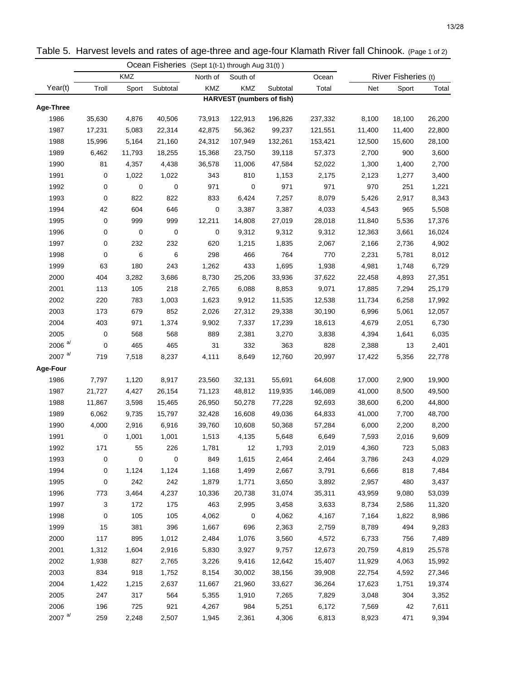|                  |        |             |           |           | Ocean Fisheries (Sept 1(t-1) through Aug 31(t)) |          |         |        |                     |        |
|------------------|--------|-------------|-----------|-----------|-------------------------------------------------|----------|---------|--------|---------------------|--------|
|                  |        | KMZ         |           | North of  | South of                                        |          | Ocean   |        | River Fisheries (t) |        |
| Year(t)          | Troll  | Sport       | Subtotal  | KMZ       | KMZ                                             | Subtotal | Total   | Net    | Sport               | Total  |
|                  |        |             |           |           | <b>HARVEST</b> (numbers of fish)                |          |         |        |                     |        |
| <b>Age-Three</b> |        |             |           |           |                                                 |          |         |        |                     |        |
| 1986             | 35,630 | 4,876       | 40,506    | 73,913    | 122,913                                         | 196,826  | 237,332 | 8,100  | 18,100              | 26,200 |
| 1987             | 17,231 | 5,083       | 22,314    | 42,875    | 56,362                                          | 99,237   | 121,551 | 11,400 | 11,400              | 22,800 |
| 1988             | 15,996 | 5,164       | 21,160    | 24,312    | 107,949                                         | 132,261  | 153,421 | 12,500 | 15,600              | 28,100 |
| 1989             | 6,462  | 11,793      | 18,255    | 15,368    | 23,750                                          | 39,118   | 57,373  | 2,700  | 900                 | 3,600  |
| 1990             | 81     | 4,357       | 4,438     | 36,578    | 11,006                                          | 47,584   | 52,022  | 1,300  | 1,400               | 2,700  |
| 1991             | 0      | 1,022       | 1,022     | 343       | 810                                             | 1,153    | 2,175   | 2,123  | 1,277               | 3,400  |
| 1992             | 0      | $\mathbf 0$ | 0         | 971       | 0                                               | 971      | 971     | 970    | 251                 | 1,221  |
| 1993             | 0      | 822         | 822       | 833       | 6,424                                           | 7,257    | 8,079   | 5,426  | 2,917               | 8,343  |
| 1994             | 42     | 604         | 646       | $\pmb{0}$ | 3,387                                           | 3,387    | 4,033   | 4,543  | 965                 | 5,508  |
| 1995             | 0      | 999         | 999       | 12,211    | 14,808                                          | 27,019   | 28,018  | 11,840 | 5,536               | 17,376 |
| 1996             | 0      | $\mathbf 0$ | 0         | 0         | 9,312                                           | 9,312    | 9,312   | 12,363 | 3,661               | 16,024 |
| 1997             | 0      | 232         | 232       | 620       | 1,215                                           | 1,835    | 2,067   | 2,166  | 2,736               | 4,902  |
| 1998             | 0      | 6           | 6         | 298       | 466                                             | 764      | 770     | 2,231  | 5,781               | 8,012  |
| 1999             | 63     | 180         | 243       | 1,262     | 433                                             | 1,695    | 1,938   | 4,981  | 1,748               | 6,729  |
| 2000             | 404    | 3,282       | 3,686     | 8,730     | 25,206                                          | 33,936   | 37,622  | 22,458 | 4,893               | 27,351 |
| 2001             | 113    | 105         | 218       | 2,765     | 6,088                                           | 8,853    | 9,071   | 17,885 | 7,294               | 25,179 |
| 2002             | 220    | 783         | 1,003     | 1,623     | 9,912                                           | 11,535   | 12,538  | 11,734 | 6,258               | 17,992 |
| 2003             | 173    | 679         | 852       | 2,026     | 27,312                                          | 29,338   | 30,190  | 6,996  | 5,061               | 12,057 |
| 2004             | 403    | 971         | 1,374     | 9,902     | 7,337                                           | 17,239   | 18,613  | 4,679  | 2,051               | 6,730  |
| 2005             | 0      | 568         | 568       | 889       | 2,381                                           | 3,270    | 3,838   | 4,394  | 1,641               | 6,035  |
| 2006 $a/$        | 0      | 465         | 465       | 31        | 332                                             | 363      | 828     | 2,388  | 13                  | 2,401  |
| 2007 $a/$        | 719    | 7,518       | 8,237     | 4,111     | 8,649                                           | 12,760   | 20,997  | 17,422 | 5,356               | 22,778 |
| Age-Four         |        |             |           |           |                                                 |          |         |        |                     |        |
| 1986             | 7,797  | 1,120       | 8,917     | 23,560    | 32,131                                          | 55,691   | 64,608  | 17,000 | 2,900               | 19,900 |
| 1987             | 21,727 | 4,427       | 26,154    | 71,123    | 48,812                                          | 119,935  | 146,089 | 41,000 | 8,500               | 49,500 |
| 1988             | 11,867 | 3,598       | 15,465    | 26,950    | 50,278                                          | 77,228   | 92,693  | 38,600 | 6,200               | 44,800 |
| 1989             | 6,062  | 9,735       | 15,797    | 32,428    | 16,608                                          | 49,036   | 64,833  | 41,000 | 7,700               | 48,700 |
| 1990             | 4,000  | 2,916       | 6,916     | 39,760    | 10,608                                          | 50,368   | 57,284  | 6,000  | 2,200               | 8,200  |
| 1991             | 0      | 1,001       | 1,001     | 1,513     | 4,135                                           | 5,648    | 6,649   | 7,593  | 2,016               | 9,609  |
| 1992             | 171    | 55          | 226       | 1,781     | 12                                              | 1,793    | 2,019   | 4,360  | 723                 | 5,083  |
| 1993             | 0      | 0           | $\pmb{0}$ | 849       | 1,615                                           | 2,464    | 2,464   | 3,786  | 243                 | 4,029  |
| 1994             | 0      | 1,124       | 1,124     | 1,168     | 1,499                                           | 2,667    | 3,791   | 6,666  | 818                 | 7,484  |
| 1995             | 0      | 242         | 242       | 1,879     | 1,771                                           | 3,650    | 3,892   | 2,957  | 480                 | 3,437  |
| 1996             | 773    | 3,464       | 4,237     | 10,336    | 20,738                                          | 31,074   | 35,311  | 43,959 | 9,080               | 53,039 |
| 1997             | 3      | 172         | 175       | 463       | 2,995                                           | 3,458    | 3,633   | 8,734  | 2,586               | 11,320 |
| 1998             | 0      | 105         | 105       | 4,062     | 0                                               | 4,062    | 4,167   | 7,164  | 1,822               | 8,986  |
| 1999             | 15     | 381         | 396       | 1,667     | 696                                             | 2,363    | 2,759   | 8,789  | 494                 | 9,283  |
| 2000             | 117    | 895         | 1,012     | 2,484     | 1,076                                           | 3,560    | 4,572   | 6,733  | 756                 | 7,489  |
| 2001             | 1,312  | 1,604       | 2,916     | 5,830     | 3,927                                           | 9,757    | 12,673  | 20,759 | 4,819               | 25,578 |
| 2002             | 1,938  | 827         | 2,765     | 3,226     | 9,416                                           | 12,642   | 15,407  | 11,929 | 4,063               | 15,992 |
| 2003             | 834    | 918         | 1,752     | 8,154     | 30,002                                          | 38,156   | 39,908  | 22,754 | 4,592               | 27,346 |
| 2004             | 1,422  | 1,215       | 2,637     | 11,667    | 21,960                                          | 33,627   | 36,264  | 17,623 | 1,751               | 19,374 |
| 2005             | 247    | 317         | 564       | 5,355     | 1,910                                           | 7,265    | 7,829   | 3,048  | 304                 | 3,352  |
| 2006             | 196    | 725         | 921       | 4,267     | 984                                             | 5,251    | 6,172   | 7,569  | 42                  | 7,611  |
| 2007 $a/$        | 259    | 2,248       | 2,507     | 1,945     | 2,361                                           | 4,306    | 6,813   | 8,923  | 471                 | 9,394  |

Table 5. Harvest levels and rates of age-three and age-four Klamath River fall Chinook. (Page 1 of 2)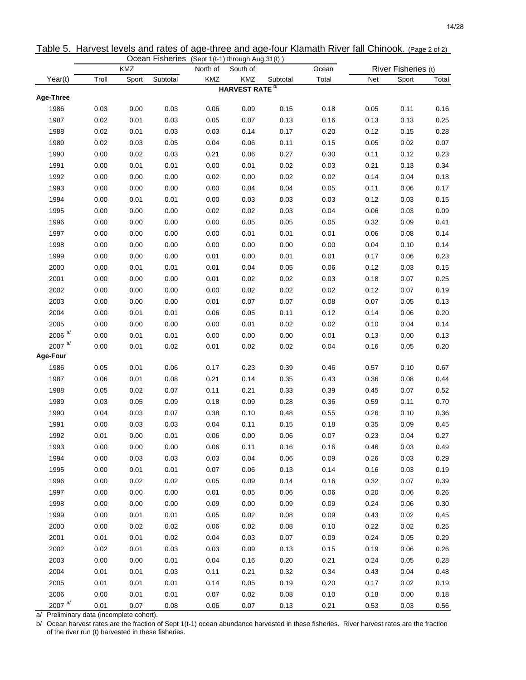|                                    |       |       |          | Ocean Fisheries (Sept 1(t-1) through Aug 31(t)) |                     |          |       |      |                     |       |
|------------------------------------|-------|-------|----------|-------------------------------------------------|---------------------|----------|-------|------|---------------------|-------|
|                                    |       | KMZ   |          | North of                                        | South of            |          | Ocean |      | River Fisheries (t) |       |
| Year(t)                            | Troll | Sport | Subtotal | KMZ                                             | KMZ                 | Subtotal | Total | Net  | Sport               | Total |
| Age-Three                          |       |       |          |                                                 | <b>HARVEST RATE</b> |          |       |      |                     |       |
| 1986                               | 0.03  | 0.00  | 0.03     | 0.06                                            | 0.09                | 0.15     | 0.18  | 0.05 | 0.11                | 0.16  |
| 1987                               | 0.02  | 0.01  | 0.03     | 0.05                                            | 0.07                | 0.13     | 0.16  | 0.13 | 0.13                | 0.25  |
| 1988                               | 0.02  | 0.01  | 0.03     | 0.03                                            | 0.14                | 0.17     | 0.20  | 0.12 | 0.15                | 0.28  |
| 1989                               | 0.02  | 0.03  | 0.05     | 0.04                                            | 0.06                | 0.11     | 0.15  | 0.05 | 0.02                | 0.07  |
| 1990                               | 0.00  | 0.02  | 0.03     | 0.21                                            | 0.06                | 0.27     | 0.30  | 0.11 | 0.12                | 0.23  |
| 1991                               | 0.00  | 0.01  | 0.01     | 0.00                                            | 0.01                | 0.02     | 0.03  | 0.21 | 0.13                | 0.34  |
| 1992                               | 0.00  | 0.00  | 0.00     | 0.02                                            | 0.00                | 0.02     | 0.02  | 0.14 | 0.04                | 0.18  |
| 1993                               | 0.00  | 0.00  | 0.00     | 0.00                                            | 0.04                | 0.04     | 0.05  | 0.11 | 0.06                | 0.17  |
| 1994                               | 0.00  | 0.01  | 0.01     | 0.00                                            | 0.03                | 0.03     | 0.03  | 0.12 | 0.03                | 0.15  |
| 1995                               | 0.00  | 0.00  | 0.00     | 0.02                                            | 0.02                | 0.03     | 0.04  | 0.06 | 0.03                | 0.09  |
| 1996                               | 0.00  | 0.00  | 0.00     | 0.00                                            | 0.05                | 0.05     | 0.05  | 0.32 | 0.09                | 0.41  |
| 1997                               | 0.00  | 0.00  | 0.00     | 0.00                                            | 0.01                | 0.01     | 0.01  | 0.06 | 0.08                | 0.14  |
| 1998                               | 0.00  | 0.00  | 0.00     | 0.00                                            | 0.00                | 0.00     | 0.00  | 0.04 | 0.10                | 0.14  |
| 1999                               | 0.00  | 0.00  | 0.00     | 0.01                                            | 0.00                | 0.01     | 0.01  | 0.17 | 0.06                | 0.23  |
| 2000                               | 0.00  | 0.01  | 0.01     | 0.01                                            | 0.04                | 0.05     | 0.06  | 0.12 | 0.03                | 0.15  |
| 2001                               | 0.00  | 0.00  | 0.00     | 0.01                                            | 0.02                | 0.02     | 0.03  | 0.18 | 0.07                | 0.25  |
| 2002                               | 0.00  | 0.00  | 0.00     | 0.00                                            | 0.02                | 0.02     | 0.02  | 0.12 | 0.07                | 0.19  |
| 2003                               | 0.00  | 0.00  | 0.00     | 0.01                                            | 0.07                | 0.07     | 0.08  | 0.07 | 0.05                | 0.13  |
| 2004                               | 0.00  | 0.01  | 0.01     | 0.06                                            | 0.05                | 0.11     | 0.12  | 0.14 | 0.06                | 0.20  |
| 2005                               | 0.00  | 0.00  | 0.00     | 0.00                                            | 0.01                | 0.02     | 0.02  | 0.10 | 0.04                | 0.14  |
| 2006 $a$ <sup><math>d</math></sup> | 0.00  | 0.01  | 0.01     | 0.00                                            | 0.00                | 0.00     | 0.01  | 0.13 | 0.00                | 0.13  |
| 2007 $a/d$                         | 0.00  | 0.01  | 0.02     | 0.01                                            | 0.02                | 0.02     | 0.04  | 0.16 | 0.05                | 0.20  |
| Age-Four                           |       |       |          |                                                 |                     |          |       |      |                     |       |
| 1986                               | 0.05  | 0.01  | 0.06     | 0.17                                            | 0.23                | 0.39     | 0.46  | 0.57 | 0.10                | 0.67  |
| 1987                               | 0.06  | 0.01  | 0.08     | 0.21                                            | 0.14                | 0.35     | 0.43  | 0.36 | 0.08                | 0.44  |
| 1988                               | 0.05  | 0.02  | 0.07     | 0.11                                            | 0.21                | 0.33     | 0.39  | 0.45 | 0.07                | 0.52  |
| 1989                               | 0.03  | 0.05  | 0.09     | 0.18                                            | 0.09                | 0.28     | 0.36  | 0.59 | 0.11                | 0.70  |
| 1990                               | 0.04  | 0.03  | 0.07     | 0.38                                            | 0.10                | 0.48     | 0.55  | 0.26 | 0.10                | 0.36  |
| 1991                               | 0.00  | 0.03  | 0.03     | 0.04                                            | 0.11                | 0.15     | 0.18  | 0.35 | 0.09                | 0.45  |
| 1992                               | 0.01  | 0.00  | 0.01     | 0.06                                            | 0.00                | 0.06     | 0.07  | 0.23 | 0.04                | 0.27  |
| 1993                               | 0.00  | 0.00  | 0.00     | 0.06                                            | 0.11                | 0.16     | 0.16  | 0.46 | 0.03                | 0.49  |
| 1994                               | 0.00  | 0.03  | 0.03     | 0.03                                            | 0.04                | 0.06     | 0.09  | 0.26 | 0.03                | 0.29  |
| 1995                               | 0.00  | 0.01  | 0.01     | 0.07                                            | 0.06                | 0.13     | 0.14  | 0.16 | 0.03                | 0.19  |
| 1996                               | 0.00  | 0.02  | 0.02     | 0.05                                            | 0.09                | 0.14     | 0.16  | 0.32 | 0.07                | 0.39  |
| 1997                               | 0.00  | 0.00  | 0.00     | 0.01                                            | 0.05                | 0.06     | 0.06  | 0.20 | 0.06                | 0.26  |
| 1998                               | 0.00  | 0.00  | 0.00     | 0.09                                            | 0.00                | 0.09     | 0.09  | 0.24 | 0.06                | 0.30  |
| 1999                               | 0.00  | 0.01  | 0.01     | 0.05                                            | 0.02                | 0.08     | 0.09  | 0.43 | 0.02                | 0.45  |
| 2000                               | 0.00  | 0.02  | 0.02     | 0.06                                            | 0.02                | 0.08     | 0.10  | 0.22 | 0.02                | 0.25  |
| 2001                               | 0.01  | 0.01  | 0.02     | 0.04                                            | 0.03                | 0.07     | 0.09  | 0.24 | 0.05                | 0.29  |
| 2002                               | 0.02  | 0.01  | 0.03     | 0.03                                            | 0.09                | 0.13     | 0.15  | 0.19 | 0.06                | 0.26  |
| 2003                               | 0.00  | 0.00  | 0.01     | 0.04                                            | 0.16                | 0.20     | 0.21  | 0.24 | 0.05                | 0.28  |
| 2004                               | 0.01  | 0.01  | 0.03     | 0.11                                            | 0.21                | 0.32     | 0.34  | 0.43 | 0.04                | 0.48  |
| 2005                               | 0.01  | 0.01  | 0.01     | 0.14                                            | 0.05                | 0.19     | 0.20  | 0.17 | 0.02                | 0.19  |
| 2006                               | 0.00  | 0.01  | 0.01     | 0.07                                            | 0.02                | 0.08     | 0.10  | 0.18 | 0.00                | 0.18  |
| 2007 $a/$                          | 0.01  | 0.07  | 0.08     | 0.06                                            | 0.07                | 0.13     | 0.21  | 0.53 | 0.03                | 0.56  |

Table 5. Harvest levels and rates of age-three and age-four Klamath River fall Chinook. (Page 2 of 2)

a/ Preliminary data (incomplete cohort).

b/ Ocean harvest rates are the fraction of Sept 1(t-1) ocean abundance harvested in these fisheries. River harvest rates are the fraction of the river run (t) harvested in these fisheries.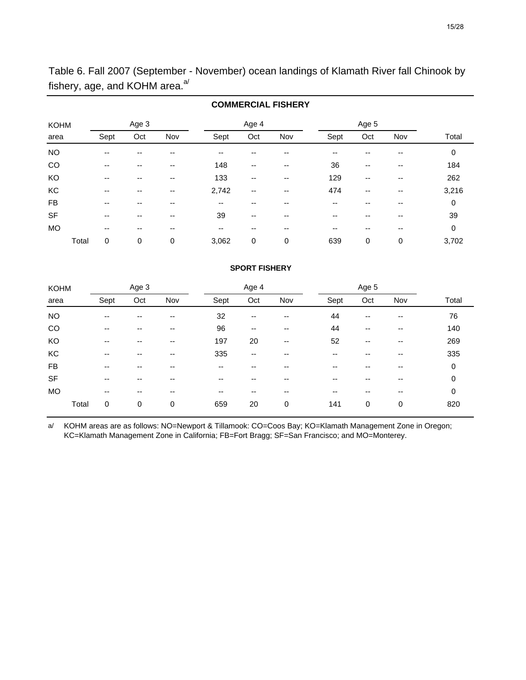Table 6. Fall 2007 (September - November) ocean landings of Klamath River fall Chinook by fishery, age, and KOHM area. $a/$ 

|             |       |       |       |     |                          |       | <b>COMMERCIAL FISHERY</b> |      |       |     |       |
|-------------|-------|-------|-------|-----|--------------------------|-------|---------------------------|------|-------|-----|-------|
| <b>KOHM</b> |       |       | Age 3 |     |                          | Age 4 |                           |      | Age 5 |     |       |
| area        |       | Sept  | Oct   | Nov | Sept                     | Oct   | Nov                       | Sept | Oct   | Nov | Total |
| <b>NO</b>   |       | $- -$ |       | --  | $- -$                    |       |                           | --   | --    | --  | 0     |
| CO          |       | $- -$ | --    | --  | 148                      | --    | --                        | 36   | --    | --  | 184   |
| KO          |       | --    | --    | --  | 133                      | --    | --                        | 129  | --    | --  | 262   |
| КC          |       | $- -$ | --    | --  | 2,742                    | --    | --                        | 474  | --    | --  | 3,216 |
| <b>FB</b>   |       | $- -$ | --    | --  | $\overline{\phantom{a}}$ | --    | --                        | --   | --    | --  | 0     |
| <b>SF</b>   |       | $- -$ | --    | --  | 39                       | --    | --                        | --   | --    |     | 39    |
| <b>MO</b>   |       | $- -$ | --    | --  | $\overline{\phantom{a}}$ | --    | --                        | --   | --    | --  | 0     |
|             | Total | 0     | 0     | 0   | 3,062                    | 0     | 0                         | 639  | 0     | 0   | 3,702 |

# **SPORT FISHERY** Age 3 Age 4 Age 5 Age 5 Age 5 Age 5 Age 5 Age 5 Age 5 Age 5 Age 5 Age 5 Age 5 Age 5

| <b>KOHM</b> |       | Age 3                    |     |     |      | Age 4 |     |      | Age 5 |     |       |
|-------------|-------|--------------------------|-----|-----|------|-------|-----|------|-------|-----|-------|
| area        |       | Sept                     | Oct | Nov | Sept | Oct   | Nov | Sept | Oct   | Nov | Total |
| <b>NO</b>   |       | $- -$                    | --  | --  | 32   | $-$   | --  | 44   | --    | --  | 76    |
| CO          |       | $-$                      | --  | --  | 96   | --    | --  | 44   | --    | --  | 140   |
| KO          |       | $-$                      | --  | --  | 197  | 20    | $-$ | 52   | --    | --  | 269   |
| KC          |       | $-$                      | --  | --  | 335  | $-$   | --  | --   | --    | --  | 335   |
| FB          |       | --                       | --  | --  | --   | --    | --  | --   | --    | --  | 0     |
| <b>SF</b>   |       | $-$                      | --  | --  | --   | --    | --  | --   | --    | --  | 0     |
| <b>MO</b>   |       | $\overline{\phantom{a}}$ | --  | --  | --   | --    | --  | --   | --    | --  | 0     |
|             | Total | $\mathbf 0$              | 0   | 0   | 659  | 20    | 0   | 141  | 0     | 0   | 820   |

a/ KOHM areas are as follows: NO=Newport & Tillamook: CO=Coos Bay; KO=Klamath Management Zone in Oregon; KC=Klamath Management Zone in California; FB=Fort Bragg; SF=San Francisco; and MO=Monterey.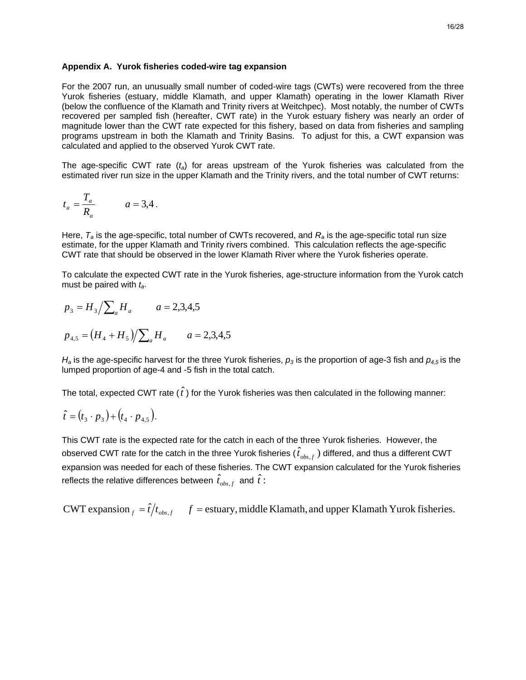For the 2007 run, an unusually small number of coded-wire tags (CWTs) were recovered from the three Yurok fisheries (estuary, middle Klamath, and upper Klamath) operating in the lower Klamath River (below the confluence of the Klamath and Trinity rivers at Weitchpec). Most notably, the number of CWTs recovered per sampled fish (hereafter, CWT rate) in the Yurok estuary fishery was nearly an order of magnitude lower than the CWT rate expected for this fishery, based on data from fisheries and sampling programs upstream in both the Klamath and Trinity Basins. To adjust for this, a CWT expansion was calculated and applied to the observed Yurok CWT rate.

The age-specific CWT rate (*ta*) for areas upstream of the Yurok fisheries was calculated from the estimated river run size in the upper Klamath and the Trinity rivers, and the total number of CWT returns:

$$
t_a = \frac{T_a}{R_a} \qquad a = 3,4.
$$

Here, *Ta* is the age-specific, total number of CWTs recovered, and *Ra* is the age-specific total run size estimate, for the upper Klamath and Trinity rivers combined. This calculation reflects the age-specific CWT rate that should be observed in the lower Klamath River where the Yurok fisheries operate.

To calculate the expected CWT rate in the Yurok fisheries, age-structure information from the Yurok catch must be paired with *ta*.

$$
p_3 = H_3 / \sum_a H_a \qquad a = 2,3,4,5
$$

$$
p_{4,5} = (H_4 + H_5) / \sum_a H_a \qquad a = 2,3,4,5
$$

 $H_a$  is the age-specific harvest for the three Yurok fisheries,  $p_3$  is the proportion of age-3 fish and  $p_{4,5}$  is the lumped proportion of age-4 and -5 fish in the total catch.

The total, expected CWT rate  $(\hat{t})$  for the Yurok fisheries was then calculated in the following manner:

$$
\hat{t} = (t_3 \cdot p_3) + (t_4 \cdot p_{4,5}).
$$

This CWT rate is the expected rate for the catch in each of the three Yurok fisheries. However, the observed CWT rate for the catch in the three Yurok fisheries (  $\hat{t}_{obs,f}$  ) differed, and thus a different CWT expansion was needed for each of these fisheries. The CWT expansion calculated for the Yurok fisheries reflects the relative differences between  $\hat{t}_{obs,f}$  and  $\hat{t}$  :

*for EWT* expansion  $f = \hat{t}/t_{obs.f}$  *for the estuary, middle Klamath, and upper Klamath Yurok fisheries.*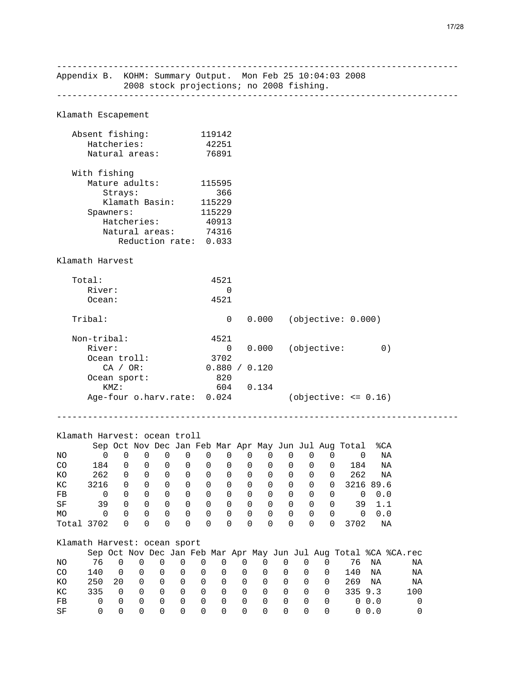------------------------------------------------------------------------------ Appendix B. KOHM: Summary Output. Mon Feb 25 10:04:03 2008 2008 stock projections; no 2008 fishing. ------------------------------------------------------------------------------ Klamath Escapement Absent fishing: 119142 Hatcheries: 42251 Natural areas: 76891 With fishing Mature adults: 115595 Strays: 366 Klamath Basin: 115229<br>awners: 115229 Spawners:<br>Hatcheries: Hatcheries: 40913 Natural areas: 74316 Reduction rate: 0.033 Klamath Harvest Total: 4521 River: 0 Ocean: 4521 Tribal: 0 0.000 (objective: 0.000) Non-tribal: 4521 River: 0 0.000 (objective: 0)<br>Ocean troll: 3702 Ocean troll: CA / OR: 0.880 / 0.120 Ocean sport: 820 KMZ: 604 0.134 Age-four o.harv.rate: 0.024 (objective: <= 0.16) ------------------------------------------------------------------------------ Klamath Harvest: ocean troll Sep Oct Nov Dec Jan Feb Mar Apr May Jun Jul Aug Total %CA NO 0 0 0 0 0 0 0 0 0 0 0 0 0 NA CO 184 0 0 0 0 0 0 0 0 0 0 0 184 NA KO 262 0 0 0 0 0 0 0 0 0 0 0 262 NA<br>KC 3216 0 0 0 0 0 0 0 0 0 0 0 3216 89.6 KC 3216 0 0 0 0 0 0 0 0 0 0 0 3216 89.6 FB 0 0 0 0 0 0 0 0 0 0 0 0 0 0.0 SF 39 0 0 0 0 0 0 0 0 0 0 0 39 1.1 MO 0 0 0 0 0 0 0 0 0 0 0 0 0 0.0 Total 3702 0 0 0 0 0 0 0 0 0 0 0 3702 NA Klamath Harvest: ocean sport Sep Oct Nov Dec Jan Feb Mar Apr May Jun Jul Aug Total %CA %CA.rec NO 76 0 0 0 0 0 0 0 0 0 0 0 76 NA NA CO 140 0 0 0 0 0 0 0 0 0 0 0 140 NA NA KO 250 20 0 0 0 0 0 0 0 0 0 0 269 NA NA KC 335 0 0 0 0 0 0 0 0 0 0 0 335 9.3 100 FB 0 0 0 0 0 0 0 0 0 0 0 0 0 0.0 0

SF 0 0 0 0 0 0 0 0 0 0 0 0 0 0.0 0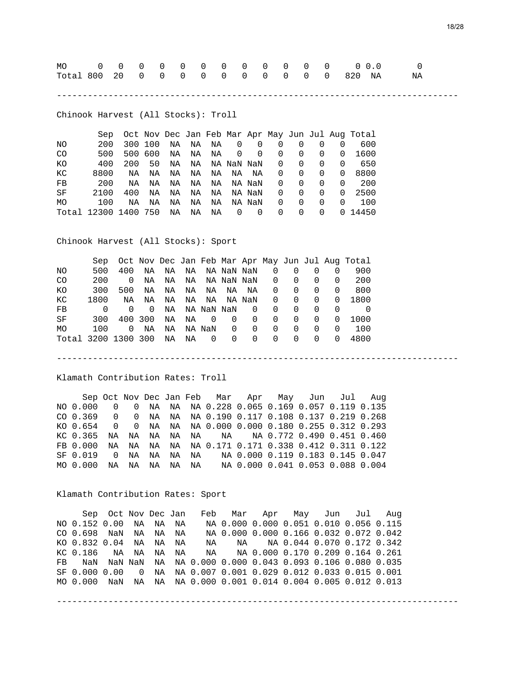| Total 800 20 0 0 0 0 0 0 0 0 0 0 0 820 NA |  |  |  |  |  |  |  |  |
|-------------------------------------------|--|--|--|--|--|--|--|--|
|                                           |  |  |  |  |  |  |  |  |

------------------------------------------------------------------------------

Chinook Harvest (All Stocks): Troll

|                | Sep                  |     |         |    |       |    |                |                          |                |          |          |          | Oct Nov Dec Jan Feb Mar Apr May Jun Jul Aug Total |
|----------------|----------------------|-----|---------|----|-------|----|----------------|--------------------------|----------------|----------|----------|----------|---------------------------------------------------|
| NΟ             | 200                  |     | 300 100 | NA | NA    |    | NA 0           | $\overline{\phantom{0}}$ | 0              | 0        | 0        |          | 600                                               |
| C <sub>O</sub> | 500                  |     | 500 600 |    | NA NA | NA | $\overline{0}$ | $\overline{0}$           | $\overline{0}$ | 0        | $\Omega$ | $\Omega$ | 1600                                              |
| KO.            | 400                  | 200 | 50      | NA | NA    |    | NA NaN NaN     |                          | $\Omega$       | $\Omega$ | 0        | $\Omega$ | 650                                               |
| КC             | 8800                 | ΝA  | ΝA      | NA | NA    | NA | NA             | NA                       | $\Omega$       | 0        | $\Omega$ | $\Omega$ | 8800                                              |
| FB             | 200                  | ΝA  | ΝA      | NA | NA    | NA |                | NA NaN                   | $\Omega$       | $\Omega$ | $\Omega$ | $\Omega$ | 200                                               |
| SF             | 2100                 | 400 | NA      | NA | NA    | NA |                | NA NaN                   | $\Omega$       | $\Omega$ | $\Omega$ | $\Omega$ | 2500                                              |
| MO.            | 100                  | NA  | ΝA      | NA | NA    | NA |                | NA NaN                   | $\Omega$       | 0        | $\Omega$ | $\Omega$ | 100                                               |
|                | Total 12300 1400 750 |     |         | NA | ΝA    | ΝA | 0              | $\overline{0}$           | $\Omega$       | $\Omega$ | 0        |          | 0 14450                                           |

Chinook Harvest (All Stocks): Sport

|                     | Sep          |          |    |    |    |                |            |            |              |              |                  |              | Oct Nov Dec Jan Feb Mar Apr May Jun Jul Aug Total |
|---------------------|--------------|----------|----|----|----|----------------|------------|------------|--------------|--------------|------------------|--------------|---------------------------------------------------|
| NO.                 | 500          | 400      | NA | NA | NA |                | NA NaN NaN |            | $\Omega$     | 0            |                  |              | 900                                               |
| CO.                 | 200          | $\Omega$ | NA | NA | NA |                |            | NA NaN NaN | $\Omega$     | 0            | $\left( \right)$ | $\Omega$     | 200                                               |
| КO                  | 300          | 500      | NA | NA | NA |                | NA NA      | NA         | 0            | 0            | $\left( \right)$ | $\Omega$     | 800                                               |
| КC                  | 1800         | NA       | ΝA | NA | NA | NA             |            | NA NaN     | 0            | 0            | $\Omega$         | $\Omega$     | 1800                                              |
| FB                  | <sup>n</sup> | $\Omega$ | 0  | NA |    |                | NA NaN NaN | $\Omega$   | $\Omega$     | $\Omega$     | $\Omega$         | $\Omega$     |                                                   |
| SF                  | 300          | 400 300  |    | NA | NA | $\overline{0}$ | $\Omega$   | 0          | $\Omega$     | 0            | 0                | $\Omega$     | 1000                                              |
| MO                  | 100          | 0        | ΝA | NA |    | NA NaN         | $\Omega$   | $\Omega$   | $\Omega$     | $\Omega$     | $\Omega$         | $\Omega$     | 100                                               |
| Total 3200 1300 300 |              |          |    | ΝA | ΝA | $\overline{0}$ | $\Omega$   | 0          | <sup>0</sup> | <sup>0</sup> | <sup>0</sup>     | <sup>0</sup> | 4800                                              |

Klamath Contribution Rates: Troll

 Sep Oct Nov Dec Jan Feb Mar Apr May Jun Jul Aug NO 0.000 0 0 NA NA NA 0.228 0.065 0.169 0.057 0.119 0.135 CO 0.369 0 0 NA NA NA 0.190 0.117 0.108 0.137 0.219 0.268 KO 0.654 0 0 NA NA NA 0.000 0.000 0.180 0.255 0.312 0.293 KC 0.365 NA NA NA NA NA NA NA 0.772 0.490 0.451 0.460 FB 0.000 NA NA NA NA NA 0.171 0.171 0.338 0.412 0.311 0.122 SF 0.019 0 NA NA NA NA NA 0.000 0.119 0.183 0.145 0.047 MO 0.000 NA NA NA NA NA NA 0.000 0.041 0.053 0.088 0.004

------------------------------------------------------------------------------

Klamath Contribution Rates: Sport

 Sep Oct Nov Dec Jan Feb Mar Apr May Jun Jul Aug NO 0.152 0.00 NA NA NA NA 0.000 0.000 0.051 0.010 0.056 0.115 CO 0.698 NaN NA NA NA NA 0.000 0.000 0.166 0.032 0.072 0.042 KO 0.832 0.04 NA NA NA NA NA NA 0.044 0.070 0.172 0.342 KC 0.186 NA NA NA NA NA NA 0.000 0.170 0.209 0.164 0.261 FB NaN NaN NaN NA NA 0.000 0.000 0.043 0.093 0.106 0.080 0.035 SF 0.000 0.00 0 NA NA 0.007 0.001 0.029 0.012 0.033 0.015 0.001 MO 0.000 NaN NA NA NA 0.000 0.001 0.014 0.004 0.005 0.012 0.013

------------------------------------------------------------------------------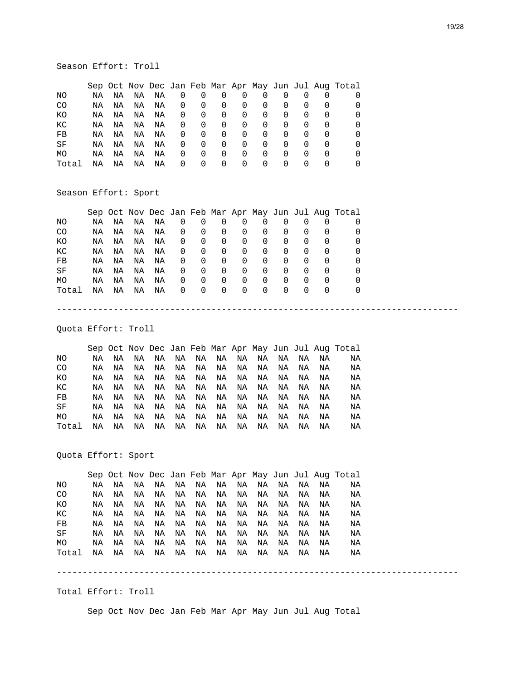#### Season Effort: Troll

|       |    |    |    |    |                  |          |                  |                  |                  |          |                  |                  | Sep Oct Nov Dec Jan Feb Mar Apr May Jun Jul Aug Total |
|-------|----|----|----|----|------------------|----------|------------------|------------------|------------------|----------|------------------|------------------|-------------------------------------------------------|
| ΝO    | ΝA | ΝA | ΝA | ΝA | 0                | $\Omega$ | O                |                  | $\Omega$         |          |                  |                  |                                                       |
| CO.   | NA | NA | ΝA | ΝA | 0                | 0        | O                | $\Omega$         | O                | O        | O                |                  |                                                       |
| КO    | ΝA | ΝA | ΝA | ΝA | 0                | $\Omega$ | $\Omega$         | $\Omega$         | $\Omega$         | $\Omega$ | $\Omega$         |                  |                                                       |
| КC    | ΝA | ΝA | ΝA | ΝA | $\Omega$         | $\Omega$ | $\Omega$         | $\Omega$         | $\Omega$         |          | $\left( \right)$ | $\left( \right)$ |                                                       |
| FB    | NA | ΝA | ΝA | ΝA | 0                | 0        | 0                | 0                | 0                | 0        | 0                | $\left( \right)$ |                                                       |
| SF    | ΝA | ΝA | ΝA | ΝA | 0                | 0        | $\Omega$         | 0                | $\Omega$         | 0        | 0                |                  |                                                       |
| MO    | ΝA | ΝA | ΝA | ΝA | $\Omega$         | 0        | $\Omega$         | $\left( \right)$ | $\Omega$         | $\Omega$ | $\left( \right)$ | $\left( \right)$ |                                                       |
| Total | ΝA | ΝA | ΝA | ΝA | $\left( \right)$ | $\Omega$ | $\left( \right)$ | $\left( \right)$ | $\left( \right)$ |          | $\left( \right)$ |                  |                                                       |

#### Season Effort: Sport

|       |    |    |    |    |              |                |          |          |                |          |          |              | Sep Oct Nov Dec Jan Feb Mar Apr May Jun Jul Aug Total |
|-------|----|----|----|----|--------------|----------------|----------|----------|----------------|----------|----------|--------------|-------------------------------------------------------|
| NO.   | ΝA | ΝA | ΝA | ΝA | 0            | 0              | 0        | $\Omega$ | 0              | $\Omega$ | 0        | $\Omega$     | 0                                                     |
| CO.   | NA | NA | NA | ΝA | $\mathbf{0}$ | 0              | 0        | $\Omega$ | $\Omega$       | $\Omega$ | $\Omega$ | 0            | 0                                                     |
| КO    | NA | ΝA | ΝA | ΝA | 0            | 0              | $\Omega$ | $\Omega$ | - 0            | $\Omega$ | $\Omega$ | 0            | 0                                                     |
| КC    | NA | ΝA | ΝA | ΝA | 0            | $\overline{0}$ | $\Omega$ | $\Omega$ | $\overline{0}$ | 0        | $\Omega$ | 0            | $\Omega$                                              |
| FB    | ΝA | ΝA | ΝA | ΝA | 0            | $\mathbf 0$    | $\Omega$ | $\Omega$ | $\Omega$       | $\Omega$ | $\Omega$ | 0            | 0                                                     |
| SF    | NA | ΝA | ΝA | ΝA | 0            | 0              | $\Omega$ | $\Omega$ | $\Omega$       | $\Omega$ | $\Omega$ | 0            | $\Omega$                                              |
| MO    | NA | ΝA | ΝA | ΝA | 0            | 0              | $\Omega$ | $\Omega$ | $\Omega$       | $\Omega$ | $\Omega$ | 0            | 0                                                     |
| Total | NA | NA | ΝA | ΝA | $\Omega$     | $\Omega$       | $\Omega$ | $\Omega$ | $\Omega$       | $\Omega$ | $\Omega$ | <sup>0</sup> | O                                                     |
|       |    |    |    |    |              |                |          |          |                |          |          |              |                                                       |
|       |    |    |    |    |              |                |          |          |                |          |          |              |                                                       |

#### Quota Effort: Troll

 Sep Oct Nov Dec Jan Feb Mar Apr May Jun Jul Aug Total NO NA NA NA NA NA NA NA NA NA NA NA NA NA<br>CO NA NA NA NA NA NA NA NA NA NA NA NA CO NA NA NA NA NA NA NA NA NA NA NA NA NA KO NA NA NA NA NA NA NA NA NA NA NA NA NA KC NA NA NA NA NA NA NA NA NA NA NA NA NA FB NA NA NA NA NA NA NA NA NA NA NA NA NA SF NA NA NA NA NA NA NA NA NA NA NA NA NA MO NA NA NA NA NA NA NA NA NA NA NA NA NA Total NA NA NA NA NA NA NA NA NA NA NA NA NA

Quota Effort: Sport

 Sep Oct Nov Dec Jan Feb Mar Apr May Jun Jul Aug Total NO NA NA NA NA NA NA NA NA NA NA NA NA NA CO NA NA NA NA NA NA NA NA NA NA NA NA NA KO NA NA NA NA NA NA NA NA NA NA NA NA NA KC NA NA NA NA NA NA NA NA NA NA NA NA NA FB NA NA NA NA NA NA NA NA NA NA NA NA NA SF NA NA NA NA NA NA NA NA NA NA NA NA NA MO NA NA NA NA NA NA NA NA NA NA NA NA NA Total NA NA NA NA NA NA NA NA NA NA NA NA NA

#### Total Effort: Troll

Sep Oct Nov Dec Jan Feb Mar Apr May Jun Jul Aug Total

------------------------------------------------------------------------------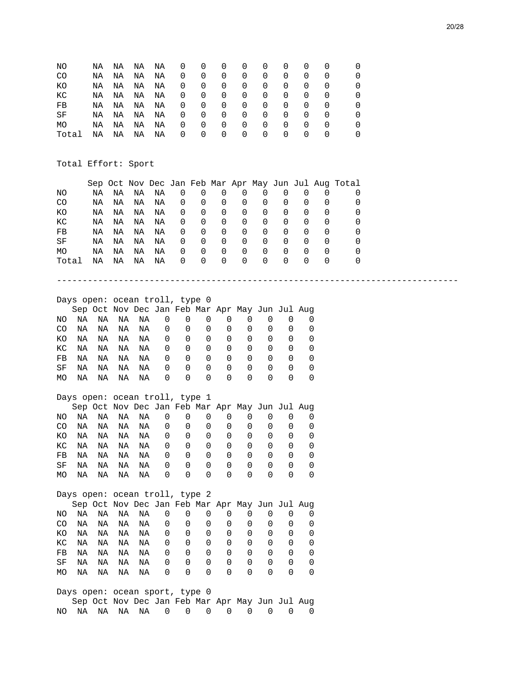| ΝO    | NA | NA | NA | NA | 0              | 0 | $\Omega$ | $\Omega$ | $\Omega$ | $\Omega$ | $\Omega$ |              |          |
|-------|----|----|----|----|----------------|---|----------|----------|----------|----------|----------|--------------|----------|
| CO    | NA | NA | ΝA | ΝA | 0              | 0 | 0        | 0        | 0        | 0        | 0        | 0            | $\Omega$ |
| КO    | NA | NA | ΝA | ΝA | 0              | 0 | 0        | 0        | $\Omega$ | 0        | 0        | 0            | $\Omega$ |
| КC    | NA | NA | ΝA | ΝA | 0              | 0 | 0        | 0        | $\Omega$ | 0        | 0        | 0            | $\Omega$ |
| FB    | ΝA | ΝA | ΝA | ΝA | 0              | 0 | 0        | 0        | 0        | 0        | 0        | <sup>0</sup> |          |
| SF    | NA | NA | ΝA | ΝA | 0              | 0 | 0        | 0        | 0        | 0        | 0        | <sup>0</sup> |          |
| MO    | ΝA | ΝA | ΝA | ΝA | 0              | 0 | 0        | 0        | 0        | 0        | $\Omega$ | <sup>0</sup> |          |
| Total | NA | NA | ΝA | ΝA | $\overline{0}$ | 0 | 0        | 0        | 0        | 0        | 0        | $\Omega$     |          |
|       |    |    |    |    |                |   |          |          |          |          |          |              |          |

Total Effort: Sport

|       |    |    |    |    |                  |          |                  |                  |                  |                  |                  |                  | Sep Oct Nov Dec Jan Feb Mar Apr May Jun Jul Aug Total |
|-------|----|----|----|----|------------------|----------|------------------|------------------|------------------|------------------|------------------|------------------|-------------------------------------------------------|
| ΝO    | ΝA | ΝA | ΝA | ΝA | $\Omega$         | $\Omega$ | $\Omega$         |                  |                  |                  | $\Omega$         |                  |                                                       |
| CO.   | ΝA | ΝA | ΝA | ΝA | $\Omega$         | O        | $\left($         | $\Omega$         |                  | $\Omega$         | $\Omega$         | $\Omega$         |                                                       |
| КO    | ΝA | ΝA | ΝA | ΝA | $\Omega$         | 0        | $\Omega$         | $\Omega$         |                  | 0                | $\Omega$         | $\Omega$         |                                                       |
| КC    | ΝA | ΝA | ΝA | ΝA | 0                | 0        | $\Omega$         | 0                |                  | 0                | $\Omega$         | O                |                                                       |
| FB    | ΝA | ΝA | ΝA | ΝA | 0                | 0        | $\Omega$         | 0                |                  | 0                | 0                | 0                |                                                       |
| SF    | ΝA | ΝA | ΝA | ΝA | 0                | 0        | $\left($         | $\left( \right)$ | $\left( \right)$ | $\Omega$         | $\left( \right)$ | $\left($         |                                                       |
| MO    | ΝA | ΝA | ΝA | ΝA | $\Omega$         | 0        | $\left($         | $\left( \right)$ |                  | $\left( \right)$ | $\left( \right)$ | $\left($         |                                                       |
| Total | ΝA | ΝA | ΝA | ΝA | $\left( \right)$ | O        | $\left( \right)$ |                  |                  | $\cup$           | $\left( \right)$ | $\left( \right)$ |                                                       |

------------------------------------------------------------------------------

Days open: ocean troll, type 0

|     |    |     |     |       |          |   |          |          | Sep Oct Nov Dec Jan Feb Mar Apr May Jun Jul Aug |                  |                  |                  |
|-----|----|-----|-----|-------|----------|---|----------|----------|-------------------------------------------------|------------------|------------------|------------------|
| NO. | NA | NA  |     | NA NA | 0        | 0 | O        | O        |                                                 | $\Omega$         |                  |                  |
| CO. | NA | NA. | NA. | NA    | 0        | 0 | 0        | $\Omega$ |                                                 | $\Omega$         |                  |                  |
| KO. | NA | NA  | NA  | NA    | 0        | 0 | 0        | 0        | $\left( \right)$                                | 0                |                  |                  |
| KC. | NA | NA  | NA  | NA    | 0        | 0 | $\Omega$ | $\Omega$ | $\left( \right)$                                | $\Omega$         | $\left( \right)$ |                  |
| FB  | ΝA | NA  | NA  | NA    | 0        | 0 | 0        | 0        | 0                                               | 0                |                  |                  |
| SF  | NA | NA  | NA  | NA    | 0        | 0 | $\Omega$ | $\Omega$ | $\left( \right)$                                | $\left( \right)$ | $\left( \right)$ | $\left( \right)$ |
| MO. | NA | NA  | NA  | NA    | $\Omega$ | 0 | $\Omega$ | $\Omega$ |                                                 |                  |                  |                  |
|     |    |     |     |       |          |   |          |          |                                                 |                  |                  |                  |

# Days open: ocean troll, type 1

|     |    |    |    |    |                  |                  |                  |                  | Sep Oct Nov Dec Jan Feb Mar Apr May Jun Jul Aug |                  |  |
|-----|----|----|----|----|------------------|------------------|------------------|------------------|-------------------------------------------------|------------------|--|
| NO. | ΝA | NA | NA | NA | 0                | $\Omega$         | $\Omega$         |                  |                                                 |                  |  |
| CO  | ΝA | NA | NA | NA | 0                | $\Omega$         | $\Omega$         | $\Omega$         |                                                 |                  |  |
| KO. | NA | NA | NA | NA | 0                | $\Omega$         | $\Omega$         | O                |                                                 | $\left( \right)$ |  |
| KC. | ΝA | ΝA | NA | ΝA | 0                | $\Omega$         | $\Omega$         | $\Omega$         |                                                 |                  |  |
| FB  | ΝA | NA | NA | ΝA | 0                | $\Omega$         | $\left( \right)$ | $\Omega$         |                                                 |                  |  |
| SF  | ΝA | NA | NA | NA | 0                | $\Omega$         | $\left( \right)$ | $\Omega$         | $\Omega$                                        | $\left( \right)$ |  |
| MO. | ΝA | ΝA | ΝA | NA | $\left( \right)$ | $\left( \right)$ | $\left( \right)$ | $\left( \right)$ | $\left( \right)$                                |                  |  |

|     |    |    |    | Days open: ocean troll, type 2                  |   |          |              |   |   |                  |                  |          |
|-----|----|----|----|-------------------------------------------------|---|----------|--------------|---|---|------------------|------------------|----------|
|     |    |    |    | Sep Oct Nov Dec Jan Feb Mar Apr May Jun Jul Aug |   |          |              |   |   |                  |                  |          |
| NO. | ΝA | NA | NA | NA                                              | 0 | 0        | 0            | 0 |   |                  |                  |          |
| CO  | ΝA | NA | NA | NA                                              | 0 | 0        | 0            | 0 | 0 |                  |                  |          |
| KΟ  | ΝA | NA | NA | ΝA                                              | 0 | 0        | 0            | 0 | 0 | <sup>0</sup>     | $\Omega$         | $\Omega$ |
| КC  | NA | NA | NA | NA                                              | 0 | $\Omega$ | <sup>0</sup> | 0 | 0 | $\Omega$         | $\Omega$         | ∩        |
| FB  | NA | NA | NA | ΝA                                              | 0 | 0        | <sup>0</sup> | 0 | 0 | $\left( \right)$ | $\left( \right)$ | $\left($ |
| SF  | ΝA | ΝA | ΝA | ΝA                                              | 0 | 0        | 0            | 0 | 0 | <sup>0</sup>     | <sup>0</sup>     |          |
| МO  | ΝA | ΝA | ΝA | NA                                              | 0 | 0        | 0            | 0 |   |                  |                  |          |

|  | Days open: ocean sport, type 0 |  |  |  |  |                                                 |
|--|--------------------------------|--|--|--|--|-------------------------------------------------|
|  |                                |  |  |  |  | Sep Oct Nov Dec Jan Feb Mar Apr May Jun Jul Aug |
|  |                                |  |  |  |  | NO NA  NA  NA  NA  O  O  O  O  O  O  O  O  O  O |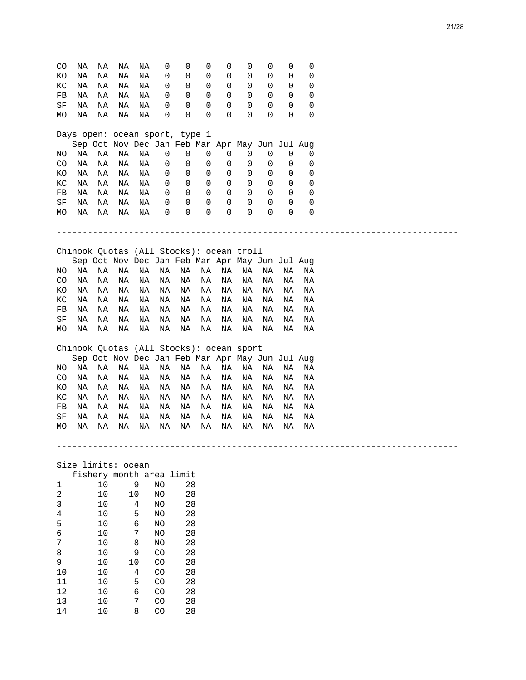| CO             | ΝA                                       | ΝA   | ΝA | ΝA                                              | 0  | 0  | 0  | 0  | 0           | 0        | 0        | 0                                |  |
|----------------|------------------------------------------|------|----|-------------------------------------------------|----|----|----|----|-------------|----------|----------|----------------------------------|--|
| ΚO             | ΝA                                       | ΝA   | ΝA | ΝA                                              | 0  | 0  | 0  | 0  | 0           | 0        | 0        | 0                                |  |
| КC             | ΝA                                       | ΝA   | ΝA | ΝA                                              | 0  | 0  | 0  | 0  | 0           | 0        | 0        | 0                                |  |
| FB             | ΝA                                       | ΝA   | ΝA | ΝA                                              | 0  | 0  | 0  | 0  | 0           | 0        | 0        | 0                                |  |
| SF             | ΝA                                       | ΝA   | ΝA | NA                                              | 0  | 0  | 0  | 0  | 0           | 0        | 0        | 0                                |  |
| МO             | ΝA                                       | ΝA   | ΝA | ΝA                                              | 0  | 0  | 0  | 0  | $\Omega$    | $\Omega$ | $\Omega$ | 0                                |  |
|                | Days open: ocean sport, type 1           |      |    |                                                 |    |    |    |    |             |          |          |                                  |  |
|                |                                          |      |    | Sep Oct Nov Dec Jan Feb Mar Apr May Jun Jul Aug |    |    |    |    |             |          |          |                                  |  |
| ΝO             | ΝA                                       | ΝA   | ΝA | ΝA                                              | 0  | 0  | 0  | 0  | 0           | 0        | 0        | 0                                |  |
| CO             | ΝA                                       | ΝA   | ΝA | ΝA                                              | 0  | 0  | 0  | 0  | 0           | 0        | 0        | 0                                |  |
| ΚO             | ΝA                                       | ΝA   | ΝA | ΝA                                              | 0  | 0  | 0  | 0  | 0           | 0        | 0        | 0                                |  |
| КC             | ΝA                                       | ΝA   | ΝA | ΝA                                              | 0  | 0  | 0  | 0  | 0           | 0        | 0        | 0                                |  |
| FB             | ΝA                                       | ΝA   | ΝA | ΝA                                              | 0  | 0  | 0  | 0  | 0           | 0        | 0        | 0                                |  |
| SF             | ΝA                                       | ΝA   | ΝA | ΝA                                              | 0  | 0  | 0  | 0  | 0           | 0        | 0        | 0                                |  |
| MO             | ΝA                                       | ΝA   | ΝA | ΝA                                              | 0  | 0  | 0  | 0  | $\mathbf 0$ | $\Omega$ | $\Omega$ | 0                                |  |
|                |                                          |      |    |                                                 |    |    |    |    |             |          |          |                                  |  |
|                |                                          |      |    |                                                 |    |    |    |    |             |          |          | ________________________________ |  |
|                | Chinook Quotas (All Stocks): ocean troll |      |    |                                                 |    |    |    |    |             |          |          |                                  |  |
|                |                                          |      |    | Sep Oct Nov Dec Jan Feb Mar Apr May Jun Jul Aug |    |    |    |    |             |          |          |                                  |  |
| NO             | ΝA                                       | ΝA   | ΝA | ΝA                                              | ΝA | ΝA | ΝA | ΝA | ΝA          | ΝA       | ΝA       | ΝA                               |  |
| CO             | ΝA                                       | ΝA   | ΝA | ΝA                                              | ΝA | ΝA | ΝA | ΝA | ΝA          | ΝA       | ΝA       | ΝA                               |  |
| ΚO             | ΝA                                       | ΝA   | ΝA | ΝA                                              | ΝA | ΝA | ΝA | ΝA | ΝA          | ΝA       | ΝA       | ΝA                               |  |
| КC             | ΝA                                       | ΝA   | ΝA | ΝA                                              | ΝA | ΝA | ΝA | ΝA | ΝA          | ΝA       | ΝA       | ΝA                               |  |
| FB             | ΝA                                       | ΝA   | ΝA | ΝA                                              | ΝA | ΝA | ΝA | ΝA | ΝA          | ΝA       | ΝA       | ΝA                               |  |
| SF             | ΝA                                       | ΝA   | ΝA | ΝA                                              | ΝA | ΝA | ΝA | ΝA | ΝA          | ΝA       | ΝA       | ΝA                               |  |
| МO             | ΝA                                       | ΝA   | ΝA | ΝA                                              | ΝA | ΝA | ΝA | ΝA | ΝA          | ΝA       | ΝA       | ΝA                               |  |
|                | Chinook Quotas (All Stocks): ocean sport |      |    |                                                 |    |    |    |    |             |          |          |                                  |  |
|                |                                          |      |    | Sep Oct Nov Dec Jan Feb Mar Apr May Jun Jul Aug |    |    |    |    |             |          |          |                                  |  |
| ΝO             | ΝA                                       | ΝA   | ΝA | ΝA                                              | ΝA | ΝA | ΝA | ΝA | ΝA          | ΝA       | ΝA       | ΝA                               |  |
|                |                                          |      |    |                                                 |    |    |    |    |             |          |          |                                  |  |
| CO             | ΝA                                       | ΝA   | ΝA | ΝA                                              | ΝA | ΝA | ΝA | ΝA | ΝA          | ΝA       | ΝA       | ΝA                               |  |
| КO             | ΝA                                       | ΝA   | ΝA | ΝA                                              | ΝA | ΝA | ΝA | ΝA | ΝA          | ΝA       | ΝA       | ΝA                               |  |
| КC             | ΝA                                       | ΝA   | ΝA | ΝA                                              | ΝA | ΝA | ΝA | ΝA | ΝA          | ΝA       | ΝA       | ΝA                               |  |
| FB             | ΝA                                       | ΝA   | ΝA | ΝA                                              | ΝA | ΝA | ΝA | ΝA | ΝA          | ΝA       | ΝA       | ΝA                               |  |
| SF             | ΝA                                       | ΝA   | ΝA | ΝA                                              | ΝA | ΝA | ΝA | ΝA | ΝA          | ΝA       | ΝA       | ΝA                               |  |
| MO             | ΝA                                       | ΝA   | ΝA | ΝA                                              | ΝA | ΝA | ΝA | ΝA | ΝA          | ΝA       | ΝA       | ΝA                               |  |
|                |                                          |      |    |                                                 |    |    |    |    |             |          |          |                                  |  |
|                | Size limits: ocean                       |      |    |                                                 |    |    |    |    |             |          |          |                                  |  |
|                |                                          |      |    | fishery month area limit                        |    |    |    |    |             |          |          |                                  |  |
| $\mathbf{1}$   |                                          | 10   |    | 9                                               | NO | 28 |    |    |             |          |          |                                  |  |
| $\overline{a}$ |                                          | $10$ |    | 10                                              | NO | 28 |    |    |             |          |          |                                  |  |
| 3              |                                          | 10   |    | $\overline{4}$                                  | NO | 28 |    |    |             |          |          |                                  |  |
| 4              |                                          | 10   |    | 5                                               | NO | 28 |    |    |             |          |          |                                  |  |
| 5              |                                          | 10   |    | 6                                               | NO | 28 |    |    |             |          |          |                                  |  |
| 6              |                                          | 10   |    | 7                                               | NO | 28 |    |    |             |          |          |                                  |  |

7 10 8 NO 28 8 10 9 CO 28 9 10 10 CO 28 10 10 4 CO 28<br>11 10 5 CO 28 11 10 5 CO 28 12 10 6 CO 28<br>13 10 7 CO 28 13 10 7 CO 28<br>14 10 8 CO 28

8 CO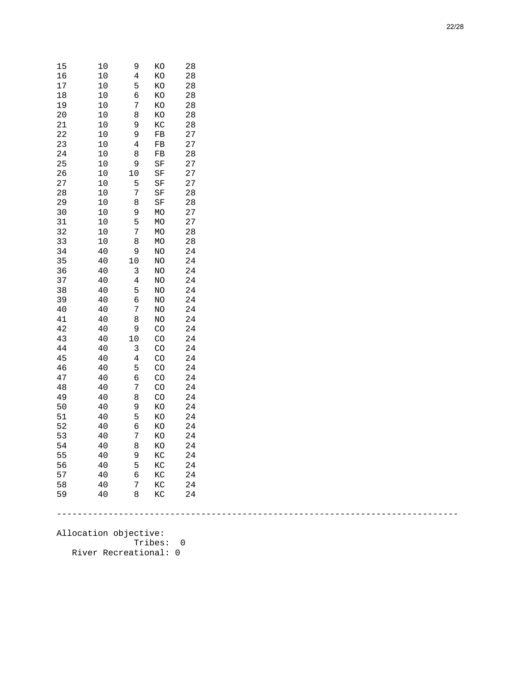| 15 | 10 | 9              | KO        | 28 |
|----|----|----------------|-----------|----|
| 16 | 10 | 4              | KO        | 28 |
| 17 | 10 | 5              | KΟ        | 28 |
| 18 | 10 | 6              | KO        | 28 |
| 19 | 10 | 7              | KO        | 28 |
| 20 | 10 | 8              | KO        | 28 |
| 21 | 10 | 9              | KC        | 28 |
| 22 | 10 | 9              | FB        | 27 |
| 23 | 10 | $\overline{4}$ | FB        | 27 |
| 24 | 10 | 8              | FB        | 28 |
| 25 | 10 | 9              | SF        | 27 |
| 26 | 10 | 10             | SF        | 27 |
| 27 | 10 | 5              | SF        | 27 |
| 28 | 10 | 7              | SF        | 28 |
| 29 | 10 | 8              | SF        | 28 |
| 30 | 10 | 9              | MO        | 27 |
| 31 | 10 | 5              | MO        | 27 |
| 32 | 10 | 7              | MO        | 28 |
| 33 | 10 | 8              | MO        | 28 |
| 34 | 40 | 9              | NO        | 24 |
| 35 | 40 | 10             | NO        | 24 |
| 36 | 40 | 3              | NO        | 24 |
| 37 | 40 | 4              | NO        | 24 |
| 38 | 40 | 5              | NO        | 24 |
| 39 | 40 | б              | NO        | 24 |
| 40 | 40 | 7              | NO        | 24 |
| 41 | 40 | 8              | NO        | 24 |
| 42 | 40 | 9              | <b>CO</b> | 24 |
| 43 | 40 | 10             | CO        | 24 |
| 44 | 40 | 3              | CO        | 24 |
| 45 | 40 | $\overline{4}$ | CO        | 24 |
| 46 | 40 | 5              | CO        | 24 |
| 47 | 40 | б              | CO        | 24 |
| 48 | 40 | 7              | CO        | 24 |
| 49 | 40 | 8              | CO        | 24 |
| 50 | 40 | 9              | KO        | 24 |
| 51 | 40 | 5              | KO        | 24 |
| 52 | 40 | б              | KO        | 24 |
| 53 | 40 | 7              | KO        | 24 |
| 54 | 40 | 8              | KO        | 24 |
| 55 | 40 | 9              | KC        | 24 |
| 56 | 40 | 5              | KC        | 24 |
| 57 | 40 | 6              | KC        | 24 |
| 58 | 40 | 7              | KC        | 24 |
| 59 | 40 | 8              | KC        | 24 |

------------------------------------------------------------------------------

Allocation objective: Tribes: 0 River Recreational: 0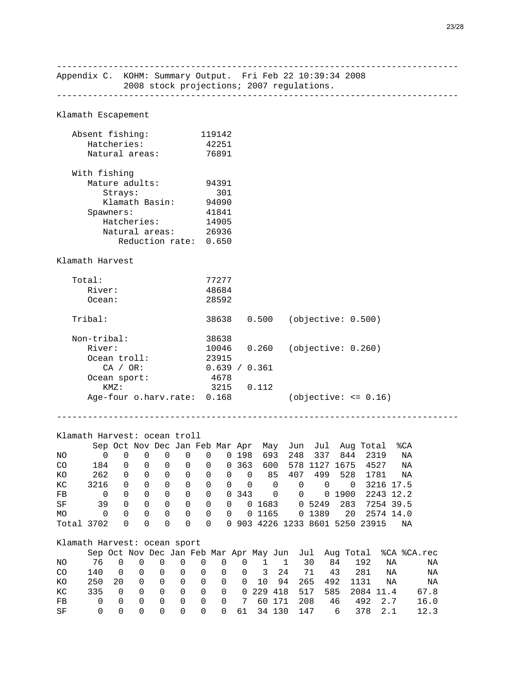------------------------------------------------------------------------------ Appendix C. KOHM: Summary Output. Fri Feb 22 10:39:34 2008 2008 stock projections; 2007 regulations. ------------------------------------------------------------------------------ Klamath Escapement Absent fishing: 119142 Hatcheries: 42251 Natural areas: 76891 With fishing Mature adults: 94391 Strays: 301<br>Klamath Basin: 94090 Klamath Basin: Spawners: 41841<br>Hatcheries: 14905 Hatcheries: 14905 Natural areas: 26936 Reduction rate: 0.650 Klamath Harvest Total: 77277 River: 48684<br>Ocean: 28592 Ocean: Tribal: 38638 0.500 (objective: 0.500) Non-tribal: 38638 River: 10046 0.260 (objective: 0.260) Ocean troll: 23915 CA / OR: 0.639 / 0.361 Ocean sport: 4678 KMZ: 3215 0.112 Age-four o.harv.rate: 0.168 (objective: <= 0.16) ------------------------------------------------------------------------------ Klamath Harvest: ocean troll Sep Oct Nov Dec Jan Feb Mar Apr May Jun Jul Aug Total %CA NO 0 0 0 0 0 0 0 198 693 248 337 844 2319 NA CO 184 0 0 0 0 0 0 363 600 578 1127 1675 4527 NA KO 262 0 0 0 0 0 0 0 85 407 499 528 1781 NA KC 3216 0 0 0 0 0 0 0 0 0 0 0 3216 17.5 FB 0 0 0 0 0 0 0 343 0 0 0 1900 2243 12.2 SF 39 0 0 0 0 0 0 0 1683 0 5249 283 7254 39.5 MO 0 0 0 0 0 0 0 0 1165 0 1389 20 2574 14.0 Total 3702 0 0 0 0 0 0 903 4226 1233 8601 5250 23915 NA Klamath Harvest: ocean sport Sep Oct Nov Dec Jan Feb Mar Apr May Jun Jul Aug Total %CA %CA.rec NO 76 0 0 0 0 0 0 0 1 1 30 84 192 NA NA CO 140 0 0 0 0 0 0 0 3 24 71 43 281 NA NA KO 250 20 0 0 0 0 0 0 10 94 265 492 1131 NA NA KC 335 0 0 0 0 0 0 0 229 418 517 585 2084 11.4 67.8 FB 0 0 0 0 0 0 0 7 60 171 208 46 492 2.7 16.0 SF 0 0 0 0 0 0 0 61 34 130 147 6 378 2.1 12.3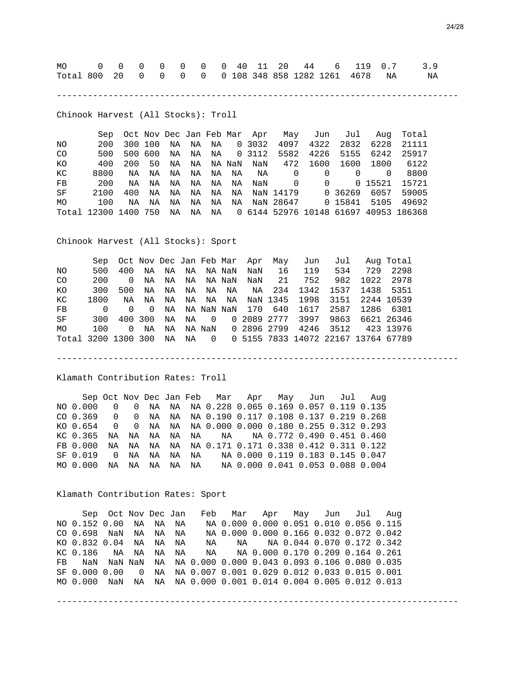|  |  |  |  |  |  |  | Total 800 20 0 0 0 0 0 108 348 858 1282 1261 4678 NA NA |
|--|--|--|--|--|--|--|---------------------------------------------------------|

------------------------------------------------------------------------------

Chinook Harvest (All Stocks): Troll

 Sep Oct Nov Dec Jan Feb Mar Apr May Jun Jul Aug Total NO 200 300 100 NA NA NA 0 3032 4097 4322 2832 6228 21111 CO 500 500 600 NA NA NA 0 3112 5582 4226 5155 6242 25917 KO 400 200 50 NA NA NA NaN NaN 472 1600 1600 1800 6122 KC 8800 NA NA NA NA NA NA NA 0 0 0 0 8800 FB 200 NA NA NA NA NA NA NAN 0 0 0 0 15521 15721 FB 200 NA NA NA NA NA NA NAN SF 2100 400 NA NA NA NA NA NaN 14179 0 36269 6057 59005 MO 100 NA NA NA NA NA NA NaN 28647 0 15841 5105 49692 Total 12300 1400 750 NA NA NA 0 6144 52976 10148 61697 40953 186368

Chinook Harvest (All Stocks): Sport

|                     |                |          |                |    |  | Sep Oct Nov Dec Jan Feb Mar Apr May | Jun                                                |     | Jul Aug Total  |          |
|---------------------|----------------|----------|----------------|----|--|-------------------------------------|----------------------------------------------------|-----|----------------|----------|
| NO.                 | 500            |          | 400 NA         | NA |  | NA NANaN NaN                        | 16 119                                             | 534 |                | 729 2298 |
| CO.                 | 200            | $\Omega$ | NA             |    |  | NA  NA  NA  NaN  NaN  21            | 752                                                |     | 982 1022 2978  |          |
| KO.                 | 300            | 500      | NA             |    |  |                                     | NA NA NA NA NA 234 1342 1537 1438 5351             |     |                |          |
| КC                  | 1800           | NA       | NA             |    |  |                                     | NA  NA  NA  NA  NaN  1345  1998  3151  2244  10539 |     |                |          |
| FB                  | $\overline{a}$ | $\cap$   | $\overline{0}$ |    |  |                                     | NA    NA    NaN    NaN    170    640    1617       |     | 2587 1286 6301 |          |
| SF                  | 300            |          | 400 300        | NA |  |                                     | NA 0 020892777 3997 9863 6621 26346                |     |                |          |
| MO                  | 100            | $\Omega$ | ΝA             |    |  |                                     | NA NA NaN 0 2896 2799 4246 3512 423 13976          |     |                |          |
| Total 3200 1300 300 |                |          |                | NA |  |                                     | NA 0 0 5155 7833 14072 22167 13764 67789           |     |                |          |

------------------------------------------------------------------------------

Klamath Contribution Rates: Troll

 Sep Oct Nov Dec Jan Feb Mar Apr May Jun Jul Aug NO 0.000 0 0 NA NA NA 0.228 0.065 0.169 0.057 0.119 0.135 CO 0.369 0 0 NA NA NA 0.190 0.117 0.108 0.137 0.219 0.268 KO 0.654 0 0 NA NA NA 0.000 0.000 0.180 0.255 0.312 0.293 KC 0.365 NA NA NA NA NA NA NA 0.772 0.490 0.451 0.460 FB 0.000 NA NA NA NA NA 0.171 0.171 0.338 0.412 0.311 0.122 SF 0.019 0 NA NA NA NA NA 0.000 0.119 0.183 0.145 0.047 MO 0.000 NA NA NA NA NA NA 0.000 0.041 0.053 0.088 0.004

Klamath Contribution Rates: Sport

 Sep Oct Nov Dec Jan Feb Mar Apr May Jun Jul Aug NO 0.152 0.00 NA NA NA NA 0.000 0.000 0.051 0.010 0.056 0.115 CO 0.698 NaN NA NA NA NA 0.000 0.000 0.166 0.032 0.072 0.042 KO 0.832 0.04 NA NA NA NA NA NA 0.044 0.070 0.172 0.342 KC 0.186 NA NA NA NA NA NA 0.000 0.170 0.209 0.164 0.261 FB NaN NaN NaN NA NA 0.000 0.000 0.043 0.093 0.106 0.080 0.035 SF 0.000 0.00 0 NA NA 0.007 0.001 0.029 0.012 0.033 0.015 0.001 MO 0.000 NaN NA NA NA 0.000 0.001 0.014 0.004 0.005 0.012 0.013

------------------------------------------------------------------------------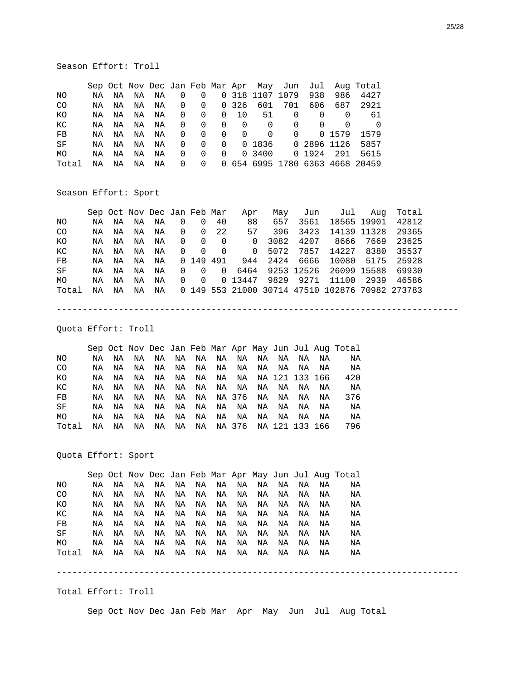Season Effort: Troll

|             |    |    |    |    |                         |                |          |                |                 |                    |          |        | Sep Oct Nov Dec Jan Feb Mar Apr May Jun Jul Aug Total |
|-------------|----|----|----|----|-------------------------|----------------|----------|----------------|-----------------|--------------------|----------|--------|-------------------------------------------------------|
| NO.         | NA | NA | NA | NA | $\overline{\mathbf{0}}$ | 0              |          |                | 0 318 1107 1079 |                    | 938      | 986    | 4427                                                  |
| CO.         | NA | ΝA | NA | ΝA | $\overline{0}$          | $\overline{0}$ |          | 0326           | 601             | 701                | 606      | 687    | 2921                                                  |
| КO          | NA | NA | NA | NA | $\overline{0}$          | $\Omega$       | $\Omega$ | - 10           | 51              | $\Omega$           | $\Omega$ | 0      | 61                                                    |
| КC          | NA | NA | NA | ΝA | $\overline{0}$          | $\Omega$       | - 0      | - 0            | $\Omega$        | 0                  | $\Omega$ | 0      |                                                       |
| $_{\rm FB}$ | NA | ΝA | NA | ΝA | $\overline{0}$          | $\Omega$       | $\Omega$ | $\overline{0}$ | $\Omega$        | $\Omega$           |          | 0 1579 | 1579                                                  |
| SF          | NA | NA | NA | ΝA | $\overline{0}$          | $\Omega$       | $\Omega$ |                |                 | 0 1836 0 2896 1126 |          |        | 5857                                                  |
| MO.         | NA | ΝA | NA | ΝA | $\Omega$                | $\Omega$       | $\Omega$ |                | 0 3400          |                    | 0 1924   | 291    | 5615                                                  |
| Total       | ΝA | ΝA | ΝA | ΝA | $\overline{0}$          | $\Omega$       |          |                |                 |                    |          |        | 0 654 6995 1780 6363 4668 20459                       |

#### Season Effort: Sport

|       |    |    |    |    |                |                | Sep Oct Nov Dec Jan Feb Mar | Apr            | Mav               |      | Jun Jul Aug                                     |      | Total |
|-------|----|----|----|----|----------------|----------------|-----------------------------|----------------|-------------------|------|-------------------------------------------------|------|-------|
| NO.   | NA | NA | NA | ΝA | $\overline{0}$ | $\Omega$       | 40                          | 88             | 657               | 3561 | 18565 19901                                     |      | 42812 |
| CO.   | NA | NA | NA | NA |                | $0 \quad 0$    | 22                          | 57             | 396               | 3423 | 14139 11328                                     |      | 29365 |
| КO    | NA | NA | NA | ΝA | $\Omega$       | $\Omega$       | - 0                         | $\Omega$       | 3082              | 4207 | 8666                                            | 7669 | 23625 |
| КC    | NA | NA | NA | ΝA | $\Omega$       | $\overline{0}$ | $\Omega$                    | $\overline{0}$ | 5072              | 7857 | 14227                                           | 8380 | 35537 |
| FB    | NA | ΝA | NA | ΝA |                |                | 0 149 491                   | 944            | 2424              | 6666 | 10080 5175                                      |      | 25928 |
| SF    | NA | NA | NA | ΝA | $\Omega$       | $\Omega$       | $\overline{0}$              |                |                   |      | 6464 9253 12526 26099 15588                     |      | 69930 |
| MO.   | NA | ΝA | ΝA | ΝA | $\Omega$       | $\overline{0}$ |                             |                | 0 13447 9829 9271 |      | 11100                                           | 2939 | 46586 |
| Total | NA | NA | ΝA | ΝA |                |                |                             |                |                   |      | 0 149 553 21000 30714 47510 102876 70982 273783 |      |       |

------------------------------------------------------------------------------

Quota Effort: Troll

 Sep Oct Nov Dec Jan Feb Mar Apr May Jun Jul Aug Total NO NA NA NA NA NA NA NA NA NA NA NA NA NA<br>CO NA NA NA NA NA NA NA NA NA NA NA NA CO NA NA NA NA NA NA NA NA NA NA NA NA NA KO NA NA NA NA NA NA NA NA NA 121 133 166 420 KC NA NA NA NA NA NA NA NA NA NA NA NA NA FB NA NA NA NA NA NA NA 376 NA NA NA NA 376 SF NA NA NA NA NA NA NA NA NA NA NA NA NA MO NA NA NA NA NA NA NA NA NA NA NA NA NA Total NA NA NA NA NA NA NA 376 NA 121 133 166 796

Quota Effort: Sport

 Sep Oct Nov Dec Jan Feb Mar Apr May Jun Jul Aug Total NO NA NA NA NA NA NA NA NA NA NA NA NA NA CO NA NA NA NA NA NA NA NA NA NA NA NA NA KO NA NA NA NA NA NA NA NA NA NA NA NA NA KC NA NA NA NA NA NA NA NA NA NA NA NA NA FB NA NA NA NA NA NA NA NA NA NA NA NA NA SF NA NA NA NA NA NA NA NA NA NA NA NA NA MO NA NA NA NA NA NA NA NA NA NA NA NA NA Total NA NA NA NA NA NA NA NA NA NA NA NA NA

Total Effort: Troll

Sep Oct Nov Dec Jan Feb Mar Apr May Jun Jul Aug Total

------------------------------------------------------------------------------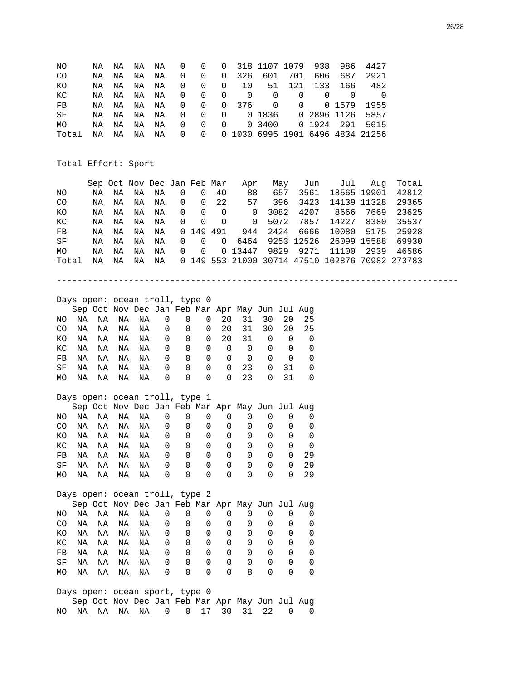| ΝO       |    | ΝA | ΝA | ΝA                             | ΝA          | 0           | 0                          | 0              |                                                 | 318 1107 1079        |             |             | 938         | 986                              | 4427        |                                               |  |
|----------|----|----|----|--------------------------------|-------------|-------------|----------------------------|----------------|-------------------------------------------------|----------------------|-------------|-------------|-------------|----------------------------------|-------------|-----------------------------------------------|--|
| CO       |    | ΝA | ΝA | ΝA                             | NA          | $\Omega$    | 0                          | $\mathbf 0$    | 326                                             | 601                  |             | 701         | 606         | 687                              | 2921        |                                               |  |
| ΚO       |    | ΝA | ΝA | ΝA                             | NA          | 0           | 0                          | 0              | 10                                              | 51                   |             | 121         | 133         | 166                              | 482         |                                               |  |
| КC       |    | ΝA | ΝA | ΝA                             | ΝA          | 0           | 0                          | $\mathbf 0$    | $\mathbf 0$                                     | $\mathbf 0$          |             | $\mathbf 0$ | $\Omega$    | $\mathbf 0$                      | $\mathbf 0$ |                                               |  |
| FB       |    | ΝA | ΝA | ΝA                             | NA          | $\Omega$    | 0                          | $\Omega$       | 376                                             | 0                    |             | $\Omega$    |             | 0 1579                           | 1955        |                                               |  |
| $\rm SF$ |    | ΝA | ΝA | ΝA                             | NA          | 0           | 0                          | $\mathbf 0$    |                                                 | 0 1836               |             | $\Omega$    |             | 2896 1126                        | 5857        |                                               |  |
| MO       |    | ΝA | ΝA | ΝA                             | NA          | $\mathbf 0$ | $\mathbf 0$                | $\mathbf 0$    |                                                 | 0 3400               |             |             | 0 1924      | 291                              | 5615        |                                               |  |
| Total    |    | ΝA | ΝA | ΝA                             | ΝA          | $\Omega$    | $\Omega$                   |                |                                                 |                      |             |             |             | 0 1030 6995 1901 6496 4834 21256 |             |                                               |  |
|          |    |    |    |                                |             |             |                            |                |                                                 |                      |             |             |             |                                  |             |                                               |  |
|          |    |    |    |                                |             |             |                            |                |                                                 |                      |             |             |             |                                  |             |                                               |  |
|          |    |    |    | Total Effort: Sport            |             |             |                            |                |                                                 |                      |             |             |             |                                  |             |                                               |  |
|          |    |    |    |                                |             |             |                            |                |                                                 |                      |             |             |             |                                  |             |                                               |  |
|          |    |    |    | Sep Oct Nov Dec Jan Feb Mar    |             |             |                            |                | Apr                                             |                      | May         |             | Jun         | Jul                              | Aug         | Total                                         |  |
| ΝO       |    | ΝA | ΝA | ΝA                             | ΝA          | 0           | $\mathbf 0$                | 40             | 88                                              |                      | 657         |             | 3561        |                                  | 18565 19901 | 42812                                         |  |
| CO       |    | ΝA | ΝA | ΝA                             | NA          | 0           | 0                          | 22             | 57                                              |                      | 396         |             | 3423        |                                  | 14139 11328 | 29365                                         |  |
| KO       |    | NA | ΝA | NA                             | NA          | $\mathbf 0$ | $\mathbf 0$                | $\overline{0}$ |                                                 | 3082<br>$\mathsf{O}$ |             |             | 4207        | 8666                             | 7669        | 23625                                         |  |
| КC       |    | ΝA | ΝA | ΝA                             | ΝA          | $\mathbf 0$ | $\mathbf 0$                | 0              |                                                 | 5072<br>$\mathsf{O}$ |             |             | 7857        | 14227                            | 8380        | 35537                                         |  |
| FB       |    | ΝA | ΝA | ΝA                             | ΝA          | $\Omega$    | 149 491                    |                | 944                                             | 2424                 |             |             | 6666        | 10080                            | 5175        | 25928                                         |  |
| $\rm SF$ |    | ΝA | ΝA | ΝA                             | NA          | $\mathbf 0$ | $\mathbf{0}$               | $\mathbf 0$    | 6464                                            |                      | 9253 12526  |             |             |                                  | 26099 15588 | 69930                                         |  |
| MO       |    | ΝA | ΝA | NA                             | NA          | $\Omega$    | $\mathbf 0$                |                | 0 13447                                         | 9829                 |             |             | 9271        | 11100                            | 2939        | 46586                                         |  |
| Total    |    | NA | ΝA | NA                             | NA          | $\Omega$    |                            |                |                                                 |                      |             |             |             |                                  |             | 149 553 21000 30714 47510 102876 70982 273783 |  |
|          |    |    |    |                                |             |             |                            |                |                                                 |                      |             |             |             |                                  |             |                                               |  |
|          |    |    |    |                                |             |             |                            |                |                                                 |                      |             |             |             |                                  |             |                                               |  |
|          |    |    |    |                                |             |             |                            |                |                                                 |                      |             |             |             |                                  |             |                                               |  |
|          |    |    |    | Days open: ocean troll, type 0 |             |             |                            |                |                                                 |                      |             |             |             |                                  |             |                                               |  |
|          |    |    |    |                                |             |             |                            |                | Sep Oct Nov Dec Jan Feb Mar Apr May Jun Jul Aug |                      |             |             |             |                                  |             |                                               |  |
| NO.      | NA | NA | ΝA | NA                             | $\mathbf 0$ |             | $\mathbf 0$                | 20<br>0        | 31                                              | 30                   | 20          |             | 25          |                                  |             |                                               |  |
| CO.      | ΝA | ΝA | ΝA | ΝA                             | 0           |             | 0<br>0                     | 20             | 31                                              | 30                   | 20          |             | 25          |                                  |             |                                               |  |
| ΚO       | ΝA | NA | ΝA | ΝA                             | 0           |             | $\mathbf 0$<br>0           | 20             | 31                                              | $\mathbf 0$          | $\mathbf 0$ |             | $\mathbf 0$ |                                  |             |                                               |  |
| КC       | NA | NA | NA | NA                             | $\mathbf 0$ |             | $\mathbf 0$<br>$\mathbf 0$ | $\mathbf 0$    | $\mathbf 0$                                     | $\mathbf 0$          | $\mathbf 0$ |             | 0           |                                  |             |                                               |  |
| FB       | ΝA | NA | ΝA | ΝA                             | $\mathbf 0$ |             | $\mathbf 0$<br>$\Omega$    |                | $\mathbf 0$<br>$\mathbf 0$                      | $\Omega$             | $\mathbf 0$ |             | $\mathbf 0$ |                                  |             |                                               |  |
| SF       | ΝA | ΝA | ΝA | ΝA                             | 0           |             | $\Omega$                   | $\Omega$       | 23<br>$\Omega$                                  | $\Omega$             | 31          |             | 0           |                                  |             |                                               |  |

## Days open: ocean troll, type 1

|     |    |    | Sep Oct Nov Dec Jan Feb Mar Apr May Jun Jul Aug |    |   |          |                  |                  |                  |                  |          |    |
|-----|----|----|-------------------------------------------------|----|---|----------|------------------|------------------|------------------|------------------|----------|----|
| NO. | ΝA | NA | NA                                              | NA | 0 | $\Omega$ | $\Omega$         | O                |                  |                  |          |    |
| CO. | NA | NA | NA                                              | NA | 0 | $\Omega$ | $\Omega$         | $\Omega$         | $\Omega$         |                  | $\Omega$ |    |
| KO. | ΝA | NA | NA                                              | NA | 0 | 0        | 0                | 0                | $\Omega$         | $\left( \right)$ |          |    |
| KC  | ΝA | NA | NA                                              | NA | 0 | 0        | 0                | $\Omega$         | $\Omega$         | $\left( \right)$ |          |    |
| FB. | NA | NA | NA                                              | NA | 0 | 0        | $\left( \right)$ | $\left( \right)$ | $\left( \right)$ | $\left( \right)$ | 0        | 29 |
| SF  | ΝA | NA | NA                                              | NA | 0 | 0        | $\Omega$         | $\Omega$         | $\Omega$         | $\left( \right)$ | 0        | 29 |
| MO. | ΝA | NA | NA                                              | NA | 0 | 0        | 0                | 0                | $\Omega$         |                  |          | 29 |

MO NA NA NA NA 0 0 0 0 23 0 31 0

|     |    |    |    | Days open: ocean troll, type 2                  |   |          |              |   |   |                  |                  |          |
|-----|----|----|----|-------------------------------------------------|---|----------|--------------|---|---|------------------|------------------|----------|
|     |    |    |    | Sep Oct Nov Dec Jan Feb Mar Apr May Jun Jul Aug |   |          |              |   |   |                  |                  |          |
| NO. | ΝA | NA | NA | NA                                              | 0 | $\Omega$ | 0            | 0 |   |                  |                  |          |
| CO  | NA | NA | NA | NA                                              | 0 | 0        | 0            | 0 | 0 |                  |                  |          |
| KΟ  | ΝA | ΝA | NA | ΝA                                              | 0 | 0        | 0            | 0 | 0 | <sup>0</sup>     | 0                | $\Omega$ |
| КC  | ΝA | ΝA | NA | ΝA                                              | 0 | 0        | <sup>0</sup> | 0 | 0 | <sup>0</sup>     | 0                | (1)      |
| FB  | ΝA | ΝA | NA | NA                                              | 0 | 0        | <sup>0</sup> | 0 | 0 | $\left( \right)$ | $\left( \right)$ | $\left($ |
| SF  | ΝA | ΝA | ΝA | ΝA                                              | 0 | 0        | 0            | 0 | 0 | <sup>0</sup>     | <sup>0</sup>     |          |
| МO  | ΝA | ΝA | ΝA | ΝA                                              | 0 | 0        | 0            | 0 | 8 |                  |                  |          |

Days open: ocean sport, type 0 Sep Oct Nov Dec Jan Feb Mar Apr May Jun Jul Aug NO NA NA NA NA 0 0 17 30 31 22 0 0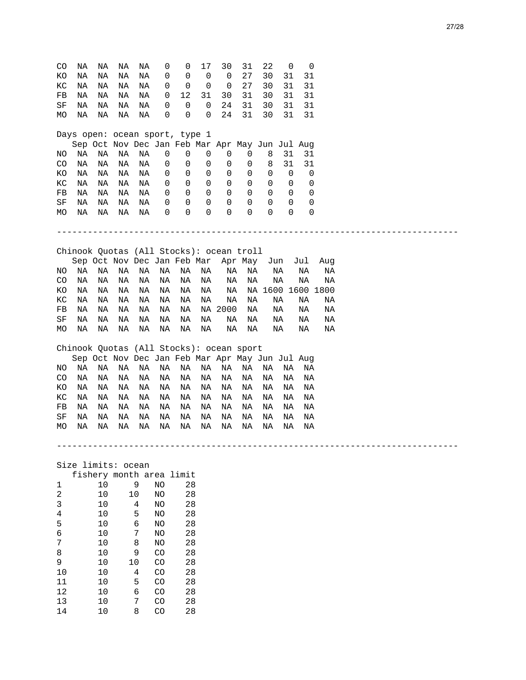| CO             | ΝA | ΝA             | ΝA                 | ΝA | 0               | 0                              | 17          | 30                                              | 31      | 22 | 0   | 0                 |     |  |  |  |  |
|----------------|----|----------------|--------------------|----|-----------------|--------------------------------|-------------|-------------------------------------------------|---------|----|-----|-------------------|-----|--|--|--|--|
|                |    |                |                    |    |                 |                                |             |                                                 |         |    |     |                   |     |  |  |  |  |
| ΚO             | ΝA | ΝA             | ΝA                 | ΝA | 0               | 0                              | $\mathbf 0$ | $\mathbf 0$                                     | 27      | 30 | 31  | 31                |     |  |  |  |  |
| КC             | ΝA | ΝA             | ΝA                 | ΝA | 0               | $\mathbf 0$                    | 0           | 0                                               | 27      | 30 | 31  | 31                |     |  |  |  |  |
| FB             | ΝA | ΝA             | ΝA                 | ΝA | 0               | 12                             | 31          | 30                                              | 31      | 30 | 31  | 31                |     |  |  |  |  |
| SF             | ΝA | ΝA             | ΝA                 | ΝA | 0               | 0                              | 0           | 24                                              | 31      | 30 | 31  | 31                |     |  |  |  |  |
|                |    |                |                    |    |                 |                                |             |                                                 |         |    |     |                   |     |  |  |  |  |
| MO             | ΝA | ΝA             | ΝA                 | ΝA | 0               | 0                              | 0           | 24                                              | 31      | 30 | 31  | 31                |     |  |  |  |  |
|                |    |                |                    |    |                 |                                |             |                                                 |         |    |     |                   |     |  |  |  |  |
|                |    |                |                    |    |                 | Days open: ocean sport, type 1 |             |                                                 |         |    |     |                   |     |  |  |  |  |
|                |    |                |                    |    |                 |                                |             | Sep Oct Nov Dec Jan Feb Mar Apr May Jun Jul Aug |         |    |     |                   |     |  |  |  |  |
|                |    |                |                    |    |                 |                                |             |                                                 |         |    |     |                   |     |  |  |  |  |
| NO             | ΝA | ΝA             | ΝA                 | ΝA | 0               | 0                              | 0           | 0                                               | 0       | 8  | 31  | 31                |     |  |  |  |  |
| CO             | ΝA | ΝA             | ΝA                 | ΝA | 0               | 0                              | 0           | 0                                               | 0       | 8  | 31  | 31                |     |  |  |  |  |
| ΚO             | ΝA | ΝA             | ΝA                 | ΝA | 0               | 0                              | 0           | 0                                               | 0       | 0  | 0   | 0                 |     |  |  |  |  |
|                |    |                |                    |    |                 |                                |             | 0                                               |         | 0  |     |                   |     |  |  |  |  |
| КC             | ΝA | ΝA             | ΝA                 | ΝA | 0               | 0                              | 0           |                                                 | 0       |    | 0   | 0                 |     |  |  |  |  |
| FB             | ΝA | ΝA             | NA                 | NA | 0               | 0                              | 0           | 0                                               | 0       | 0  | 0   | 0                 |     |  |  |  |  |
| SF             | ΝA | ΝA             | ΝA                 | ΝA | 0               | 0                              | 0           | 0                                               | 0       | 0  | 0   | 0                 |     |  |  |  |  |
| MO             | ΝA | ΝA             | ΝA                 | ΝA | 0               | 0                              | 0           | 0                                               | 0       | 0  | 0   | 0                 |     |  |  |  |  |
|                |    |                |                    |    |                 |                                |             |                                                 |         |    |     |                   |     |  |  |  |  |
|                |    |                |                    |    |                 |                                |             |                                                 |         |    |     |                   |     |  |  |  |  |
|                |    |                |                    |    |                 |                                |             |                                                 |         |    |     |                   |     |  |  |  |  |
|                |    |                |                    |    |                 |                                |             |                                                 |         |    |     |                   |     |  |  |  |  |
|                |    |                |                    |    |                 |                                |             | Chinook Quotas (All Stocks): ocean troll        |         |    |     |                   |     |  |  |  |  |
|                |    |                |                    |    |                 |                                |             |                                                 |         |    |     |                   |     |  |  |  |  |
|                |    |                |                    |    |                 | Sep Oct Nov Dec Jan Feb Mar    |             |                                                 | Apr May |    | Jun | Jul               | Aug |  |  |  |  |
| ΝO             | ΝA | ΝA             | ΝA                 | ΝA | ΝA              | ΝA                             | ΝA          | ΝA                                              | ΝA      |    | ΝA  | ΝA                | ΝA  |  |  |  |  |
| CO             | ΝA | ΝA             | ΝA                 | ΝA | ΝA              | ΝA                             | ΝA          | ΝA                                              | ΝA      |    | ΝA  | ΝA                | ΝA  |  |  |  |  |
| ΚO             | ΝA | ΝA             | ΝA                 | ΝA | ΝA              | ΝA                             | ΝA          | ΝA                                              |         |    |     | NA 1600 1600 1800 |     |  |  |  |  |
|                |    |                |                    |    |                 |                                |             |                                                 |         |    |     |                   |     |  |  |  |  |
| КC             | ΝA | ΝA             | NA                 | ΝA | ΝA              | ΝA                             | ΝA          | NA                                              | ΝA      |    | ΝA  | ΝA                | ΝA  |  |  |  |  |
| FB             | ΝA | ΝA             | ΝA                 | ΝA | ΝA              | ΝA                             |             | NA 2000                                         | ΝA      |    | ΝA  | ΝA                | ΝA  |  |  |  |  |
| SF             | ΝA | ΝA             | ΝA                 | ΝA | ΝA              | ΝA                             | ΝA          | ΝA                                              | ΝA      |    | ΝA  | ΝA                | ΝA  |  |  |  |  |
| MO             | ΝA | ΝA             | ΝA                 | ΝA | ΝA              | ΝA                             | ΝA          | ΝA                                              | ΝA      |    | ΝA  | ΝA                | ΝA  |  |  |  |  |
|                |    |                |                    |    |                 |                                |             |                                                 |         |    |     |                   |     |  |  |  |  |
|                |    |                |                    |    |                 |                                |             |                                                 |         |    |     |                   |     |  |  |  |  |
|                |    |                |                    |    |                 |                                |             | Chinook Quotas (All Stocks): ocean sport        |         |    |     |                   |     |  |  |  |  |
|                |    |                |                    |    |                 |                                |             | Sep Oct Nov Dec Jan Feb Mar Apr May Jun Jul Aug |         |    |     |                   |     |  |  |  |  |
| NO.            | ΝA | ΝA             | ΝA                 | ΝA | ΝA              | ΝA                             | ΝA          | ΝA                                              | ΝA      | ΝA | ΝA  | ΝA                |     |  |  |  |  |
|                |    |                |                    |    |                 |                                |             |                                                 |         |    |     |                   |     |  |  |  |  |
| CO             | ΝA | ΝA             | ΝA                 | ΝA | ΝA              | ΝA                             | ΝA          | ΝA                                              | ΝA      | ΝA | ΝA  | ΝA                |     |  |  |  |  |
| ΚO             | ΝA | ΝA             | NA                 | ΝA | ΝA              | ΝA                             | ΝA          | ΝA                                              | ΝA      | ΝA | ΝA  | ΝA                |     |  |  |  |  |
| КC             | ΝA | ΝA             | ΝA                 | ΝA | ΝA              | ΝA                             | ΝA          | ΝA                                              | ΝA      | ΝA | ΝA  | ΝA                |     |  |  |  |  |
| FB             | ΝA | ΝA             | ΝA                 | ΝA | ΝA              | ΝA                             | ΝA          | ΝA                                              | ΝA      | ΝA | ΝA  | ΝA                |     |  |  |  |  |
|                |    |                |                    |    |                 |                                |             |                                                 |         |    |     |                   |     |  |  |  |  |
| SF             | ΝA | ΝA             | ΝA                 | ΝA | ΝA              | ΝA                             | ΝA          | ΝA                                              | ΝA      | ΝA | ΝA  | ΝA                |     |  |  |  |  |
| MO             | ΝA | ΝA             | ΝA                 | ΝA | ΝA              | ΝA                             | ΝA          | ΝA                                              | ΝA      | ΝA | ΝA  | ΝA                |     |  |  |  |  |
|                |    |                |                    |    |                 |                                |             |                                                 |         |    |     |                   |     |  |  |  |  |
|                |    |                |                    |    |                 |                                |             |                                                 |         |    |     |                   |     |  |  |  |  |
|                |    |                |                    |    |                 |                                |             |                                                 |         |    |     |                   |     |  |  |  |  |
|                |    |                |                    |    |                 |                                |             |                                                 |         |    |     |                   |     |  |  |  |  |
|                |    |                | Size limits: ocean |    |                 |                                |             |                                                 |         |    |     |                   |     |  |  |  |  |
|                |    |                |                    |    |                 | fishery month area limit       |             |                                                 |         |    |     |                   |     |  |  |  |  |
| 1              |    | 10             |                    | 9  | NO              | 28                             |             |                                                 |         |    |     |                   |     |  |  |  |  |
| $\overline{a}$ |    | 10             |                    | 10 |                 | 28                             |             |                                                 |         |    |     |                   |     |  |  |  |  |
|                |    |                |                    |    | NO              |                                |             |                                                 |         |    |     |                   |     |  |  |  |  |
| 3              |    | 10             |                    | 4  | NO              | 28                             |             |                                                 |         |    |     |                   |     |  |  |  |  |
| 4              |    | 10             |                    | 5  | NO              | 28                             |             |                                                 |         |    |     |                   |     |  |  |  |  |
|                |    | 1 <sub>0</sub> |                    |    | NT <sub>O</sub> | $\Omega$                       |             |                                                 |         |    |     |                   |     |  |  |  |  |

| 3  | 10 | 4  | ΝO | 28 |
|----|----|----|----|----|
| 4  | 10 | 5  | NO | 28 |
| 5  | 10 | 6  | NO | 28 |
| 6  | 10 | 7  | NO | 28 |
| 7  | 10 | 8  | NO | 28 |
| 8  | 10 | 9  | CO | 28 |
| 9  | 10 | 10 | CO | 28 |
| 10 | 10 | 4  | CO | 28 |
| 11 | 10 | 5  | CO | 28 |
| 12 | 10 | 6  | CO | 28 |
| 13 | 10 | 7  | CO | 28 |
| 14 | 10 | 8  | CO | 28 |